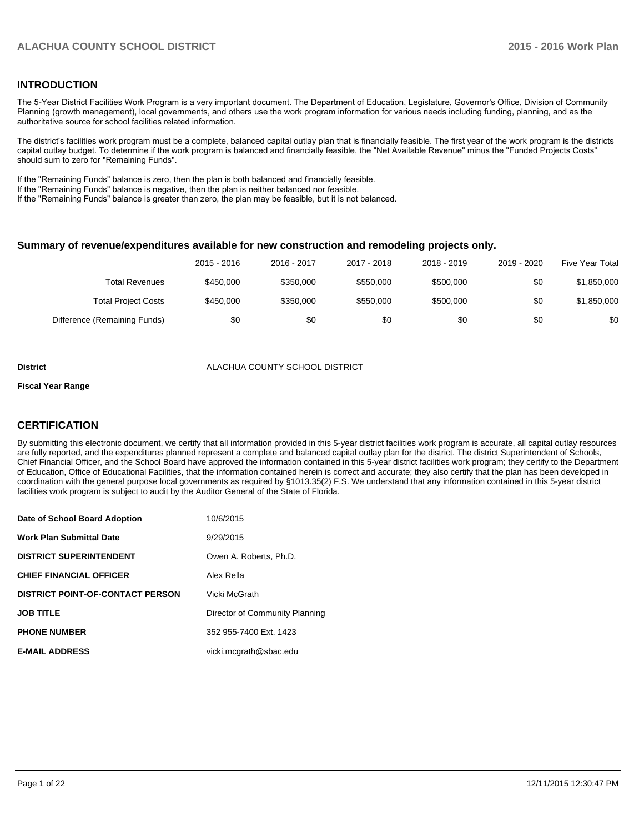## **INTRODUCTION**

The 5-Year District Facilities Work Program is a very important document. The Department of Education, Legislature, Governor's Office, Division of Community Planning (growth management), local governments, and others use the work program information for various needs including funding, planning, and as the authoritative source for school facilities related information.

The district's facilities work program must be a complete, balanced capital outlay plan that is financially feasible. The first year of the work program is the districts capital outlay budget. To determine if the work program is balanced and financially feasible, the "Net Available Revenue" minus the "Funded Projects Costs" should sum to zero for "Remaining Funds".

If the "Remaining Funds" balance is zero, then the plan is both balanced and financially feasible.

If the "Remaining Funds" balance is negative, then the plan is neither balanced nor feasible.

If the "Remaining Funds" balance is greater than zero, the plan may be feasible, but it is not balanced.

#### **Summary of revenue/expenditures available for new construction and remodeling projects only.**

|                              | 2015 - 2016 | 2016 - 2017 | 2017 - 2018 | 2018 - 2019 | 2019 - 2020 | <b>Five Year Total</b> |
|------------------------------|-------------|-------------|-------------|-------------|-------------|------------------------|
| Total Revenues               | \$450,000   | \$350,000   | \$550,000   | \$500,000   | \$0         | \$1,850,000            |
| <b>Total Project Costs</b>   | \$450,000   | \$350,000   | \$550,000   | \$500,000   | \$0         | \$1,850,000            |
| Difference (Remaining Funds) | \$0         | \$0         | \$0         | \$0         | \$0         | \$0                    |

#### **District** ALACHUA COUNTY SCHOOL DISTRICT

#### **Fiscal Year Range**

## **CERTIFICATION**

By submitting this electronic document, we certify that all information provided in this 5-year district facilities work program is accurate, all capital outlay resources are fully reported, and the expenditures planned represent a complete and balanced capital outlay plan for the district. The district Superintendent of Schools, Chief Financial Officer, and the School Board have approved the information contained in this 5-year district facilities work program; they certify to the Department of Education, Office of Educational Facilities, that the information contained herein is correct and accurate; they also certify that the plan has been developed in coordination with the general purpose local governments as required by §1013.35(2) F.S. We understand that any information contained in this 5-year district facilities work program is subject to audit by the Auditor General of the State of Florida.

| Date of School Board Adoption           | 10/6/2015                      |
|-----------------------------------------|--------------------------------|
| <b>Work Plan Submittal Date</b>         | 9/29/2015                      |
| <b>DISTRICT SUPERINTENDENT</b>          | Owen A. Roberts, Ph.D.         |
| <b>CHIEF FINANCIAL OFFICER</b>          | Alex Rella                     |
| <b>DISTRICT POINT-OF-CONTACT PERSON</b> | Vicki McGrath                  |
| <b>JOB TITLE</b>                        | Director of Community Planning |
| <b>PHONE NUMBER</b>                     | 352 955-7400 Ext. 1423         |
| <b>E-MAIL ADDRESS</b>                   | vicki.mcgrath@sbac.edu         |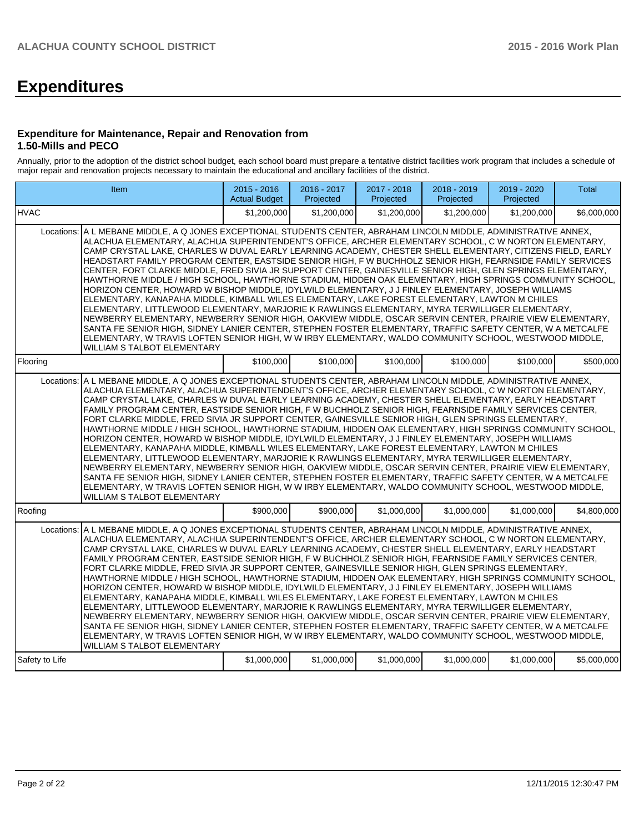# **Expenditures**

#### **Expenditure for Maintenance, Repair and Renovation from 1.50-Mills and PECO**

Annually, prior to the adoption of the district school budget, each school board must prepare a tentative district facilities work program that includes a schedule of major repair and renovation projects necessary to maintain the educational and ancillary facilities of the district.

|                                                                                                                                                                                                                                                                                                                                                                                                                                                                                                                                                                                                                                                                                                                                                                                                                                                                                                                                                                                                                                                                                                                                                                                                                                                                                                                                                                             | <b>Item</b>                                                                                                                                                                                                                                                                                                                                                                                                                                                                                                                                                                                                                                                                                                                                                                                                                                                                                                                                                                                                                                                                                                                                                                                                                                                                                                                                   | $2015 - 2016$<br><b>Actual Budget</b> | 2016 - 2017<br>Projected | 2017 - 2018<br>Projected | 2018 - 2019<br>Projected | 2019 - 2020<br>Projected | <b>Total</b> |  |  |  |
|-----------------------------------------------------------------------------------------------------------------------------------------------------------------------------------------------------------------------------------------------------------------------------------------------------------------------------------------------------------------------------------------------------------------------------------------------------------------------------------------------------------------------------------------------------------------------------------------------------------------------------------------------------------------------------------------------------------------------------------------------------------------------------------------------------------------------------------------------------------------------------------------------------------------------------------------------------------------------------------------------------------------------------------------------------------------------------------------------------------------------------------------------------------------------------------------------------------------------------------------------------------------------------------------------------------------------------------------------------------------------------|-----------------------------------------------------------------------------------------------------------------------------------------------------------------------------------------------------------------------------------------------------------------------------------------------------------------------------------------------------------------------------------------------------------------------------------------------------------------------------------------------------------------------------------------------------------------------------------------------------------------------------------------------------------------------------------------------------------------------------------------------------------------------------------------------------------------------------------------------------------------------------------------------------------------------------------------------------------------------------------------------------------------------------------------------------------------------------------------------------------------------------------------------------------------------------------------------------------------------------------------------------------------------------------------------------------------------------------------------|---------------------------------------|--------------------------|--------------------------|--------------------------|--------------------------|--------------|--|--|--|
| <b>HVAC</b>                                                                                                                                                                                                                                                                                                                                                                                                                                                                                                                                                                                                                                                                                                                                                                                                                                                                                                                                                                                                                                                                                                                                                                                                                                                                                                                                                                 |                                                                                                                                                                                                                                                                                                                                                                                                                                                                                                                                                                                                                                                                                                                                                                                                                                                                                                                                                                                                                                                                                                                                                                                                                                                                                                                                               | \$1.200.000                           | \$1.200.000              | \$1,200,000              | \$1.200.000              | \$1,200,000              | \$6,000,000  |  |  |  |
| A L MEBANE MIDDLE, A Q JONES EXCEPTIONAL STUDENTS CENTER, ABRAHAM LINCOLN MIDDLE, ADMINISTRATIVE ANNEX,<br>Locations:<br>ALACHUA ELEMENTARY, ALACHUA SUPERINTENDENT'S OFFICE, ARCHER ELEMENTARY SCHOOL, C W NORTON ELEMENTARY,<br>CAMP CRYSTAL LAKE, CHARLES W DUVAL EARLY LEARNING ACADEMY, CHESTER SHELL ELEMENTARY, CITIZENS FIELD, EARLY<br>HEADSTART FAMILY PROGRAM CENTER, EASTSIDE SENIOR HIGH, F W BUCHHOLZ SENIOR HIGH, FEARNSIDE FAMILY SERVICES<br>CENTER, FORT CLARKE MIDDLE, FRED SIVIA JR SUPPORT CENTER, GAINESVILLE SENIOR HIGH, GLEN SPRINGS ELEMENTARY,<br>HAWTHORNE MIDDLE / HIGH SCHOOL, HAWTHORNE STADIUM, HIDDEN OAK ELEMENTARY, HIGH SPRINGS COMMUNITY SCHOOL,<br>HORIZON CENTER, HOWARD W BISHOP MIDDLE, IDYLWILD ELEMENTARY, J J FINLEY ELEMENTARY, JOSEPH WILLIAMS<br>ELEMENTARY, KANAPAHA MIDDLE, KIMBALL WILES ELEMENTARY, LAKE FOREST ELEMENTARY, LAWTON M CHILES<br>ELEMENTARY, LITTLEWOOD ELEMENTARY, MARJORIE K RAWLINGS ELEMENTARY, MYRA TERWILLIGER ELEMENTARY,<br>NEWBERRY ELEMENTARY, NEWBERRY SENIOR HIGH, OAKVIEW MIDDLE, OSCAR SERVIN CENTER, PRAIRIE VIEW ELEMENTARY,<br>SANTA FE SENIOR HIGH, SIDNEY LANIER CENTER, STEPHEN FOSTER ELEMENTARY, TRAFFIC SAFETY CENTER, W A METCALFE<br>ELEMENTARY, W TRAVIS LOFTEN SENIOR HIGH, W W IRBY ELEMENTARY, WALDO COMMUNITY SCHOOL, WESTWOOD MIDDLE,<br><b>WILLIAM S TALBOT ELEMENTARY</b> |                                                                                                                                                                                                                                                                                                                                                                                                                                                                                                                                                                                                                                                                                                                                                                                                                                                                                                                                                                                                                                                                                                                                                                                                                                                                                                                                               |                                       |                          |                          |                          |                          |              |  |  |  |
| Flooring                                                                                                                                                                                                                                                                                                                                                                                                                                                                                                                                                                                                                                                                                                                                                                                                                                                                                                                                                                                                                                                                                                                                                                                                                                                                                                                                                                    |                                                                                                                                                                                                                                                                                                                                                                                                                                                                                                                                                                                                                                                                                                                                                                                                                                                                                                                                                                                                                                                                                                                                                                                                                                                                                                                                               | \$100,000                             | \$100,000                | \$100,000                | \$100,000                | \$100,000                | \$500,000    |  |  |  |
| Locations:                                                                                                                                                                                                                                                                                                                                                                                                                                                                                                                                                                                                                                                                                                                                                                                                                                                                                                                                                                                                                                                                                                                                                                                                                                                                                                                                                                  | A L MEBANE MIDDLE, A Q JONES EXCEPTIONAL STUDENTS CENTER, ABRAHAM LINCOLN MIDDLE, ADMINISTRATIVE ANNEX,<br>ALACHUA ELEMENTARY, ALACHUA SUPERINTENDENT'S OFFICE, ARCHER ELEMENTARY SCHOOL, C W NORTON ELEMENTARY,<br>CAMP CRYSTAL LAKE, CHARLES W DUVAL EARLY LEARNING ACADEMY, CHESTER SHELL ELEMENTARY, EARLY HEADSTART<br>FAMILY PROGRAM CENTER, EASTSIDE SENIOR HIGH, F W BUCHHOLZ SENIOR HIGH, FEARNSIDE FAMILY SERVICES CENTER,<br>FORT CLARKE MIDDLE, FRED SIVIA JR SUPPORT CENTER, GAINESVILLE SENIOR HIGH, GLEN SPRINGS ELEMENTARY,<br>HAWTHORNE MIDDLE / HIGH SCHOOL, HAWTHORNE STADIUM, HIDDEN OAK ELEMENTARY, HIGH SPRINGS COMMUNITY SCHOOL,<br>HORIZON CENTER, HOWARD W BISHOP MIDDLE, IDYLWILD ELEMENTARY, J J FINLEY ELEMENTARY, JOSEPH WILLIAMS<br>ELEMENTARY, KANAPAHA MIDDLE, KIMBALL WILES ELEMENTARY, LAKE FOREST ELEMENTARY, LAWTON M CHILES<br>ELEMENTARY, LITTLEWOOD ELEMENTARY, MARJORIE K RAWLINGS ELEMENTARY, MYRA TERWILLIGER ELEMENTARY,<br>NEWBERRY ELEMENTARY, NEWBERRY SENIOR HIGH, OAKVIEW MIDDLE, OSCAR SERVIN CENTER, PRAIRIE VIEW ELEMENTARY,<br>SANTA FE SENIOR HIGH, SIDNEY LANIER CENTER, STEPHEN FOSTER ELEMENTARY, TRAFFIC SAFETY CENTER, W A METCALFE<br>ELEMENTARY, W TRAVIS LOFTEN SENIOR HIGH, W W IRBY ELEMENTARY, WALDO COMMUNITY SCHOOL, WESTWOOD MIDDLE,<br><b>WILLIAM S TALBOT ELEMENTARY</b> |                                       |                          |                          |                          |                          |              |  |  |  |
| Roofing                                                                                                                                                                                                                                                                                                                                                                                                                                                                                                                                                                                                                                                                                                                                                                                                                                                                                                                                                                                                                                                                                                                                                                                                                                                                                                                                                                     |                                                                                                                                                                                                                                                                                                                                                                                                                                                                                                                                                                                                                                                                                                                                                                                                                                                                                                                                                                                                                                                                                                                                                                                                                                                                                                                                               | \$900,000                             | \$900,000                | \$1,000,000              | \$1,000,000              | \$1,000,000              | \$4.800.000  |  |  |  |
| Locations:                                                                                                                                                                                                                                                                                                                                                                                                                                                                                                                                                                                                                                                                                                                                                                                                                                                                                                                                                                                                                                                                                                                                                                                                                                                                                                                                                                  | A L MEBANE MIDDLE, A Q JONES EXCEPTIONAL STUDENTS CENTER, ABRAHAM LINCOLN MIDDLE, ADMINISTRATIVE ANNEX,<br>ALACHUA ELEMENTARY, ALACHUA SUPERINTENDENT'S OFFICE, ARCHER ELEMENTARY SCHOOL, C W NORTON ELEMENTARY,<br>CAMP CRYSTAL LAKE, CHARLES W DUVAL EARLY LEARNING ACADEMY, CHESTER SHELL ELEMENTARY, EARLY HEADSTART<br>FAMILY PROGRAM CENTER, EASTSIDE SENIOR HIGH, F W BUCHHOLZ SENIOR HIGH, FEARNSIDE FAMILY SERVICES CENTER,<br>FORT CLARKE MIDDLE, FRED SIVIA JR SUPPORT CENTER, GAINESVILLE SENIOR HIGH, GLEN SPRINGS ELEMENTARY,<br>HAWTHORNE MIDDLE / HIGH SCHOOL, HAWTHORNE STADIUM, HIDDEN OAK ELEMENTARY, HIGH SPRINGS COMMUNITY SCHOOL,<br>HORIZON CENTER, HOWARD W BISHOP MIDDLE, IDYLWILD ELEMENTARY, J J FINLEY ELEMENTARY, JOSEPH WILLIAMS<br>ELEMENTARY, KANAPAHA MIDDLE, KIMBALL WILES ELEMENTARY, LAKE FOREST ELEMENTARY, LAWTON M CHILES<br>ELEMENTARY, LITTLEWOOD ELEMENTARY, MARJORIE K RAWLINGS ELEMENTARY, MYRA TERWILLIGER ELEMENTARY.<br>NEWBERRY ELEMENTARY, NEWBERRY SENIOR HIGH, OAKVIEW MIDDLE, OSCAR SERVIN CENTER, PRAIRIE VIEW ELEMENTARY,<br>SANTA FE SENIOR HIGH, SIDNEY LANIER CENTER, STEPHEN FOSTER ELEMENTARY, TRAFFIC SAFETY CENTER, W A METCALFE<br>ELEMENTARY, W TRAVIS LOFTEN SENIOR HIGH, W W IRBY ELEMENTARY, WALDO COMMUNITY SCHOOL, WESTWOOD MIDDLE,<br><b>WILLIAM S TALBOT ELEMENTARY</b> |                                       |                          |                          |                          |                          |              |  |  |  |
| Safety to Life                                                                                                                                                                                                                                                                                                                                                                                                                                                                                                                                                                                                                                                                                                                                                                                                                                                                                                                                                                                                                                                                                                                                                                                                                                                                                                                                                              |                                                                                                                                                                                                                                                                                                                                                                                                                                                                                                                                                                                                                                                                                                                                                                                                                                                                                                                                                                                                                                                                                                                                                                                                                                                                                                                                               | \$1,000,000                           | \$1,000,000              | \$1,000,000              | \$1,000,000              | \$1,000,000              | \$5,000,000  |  |  |  |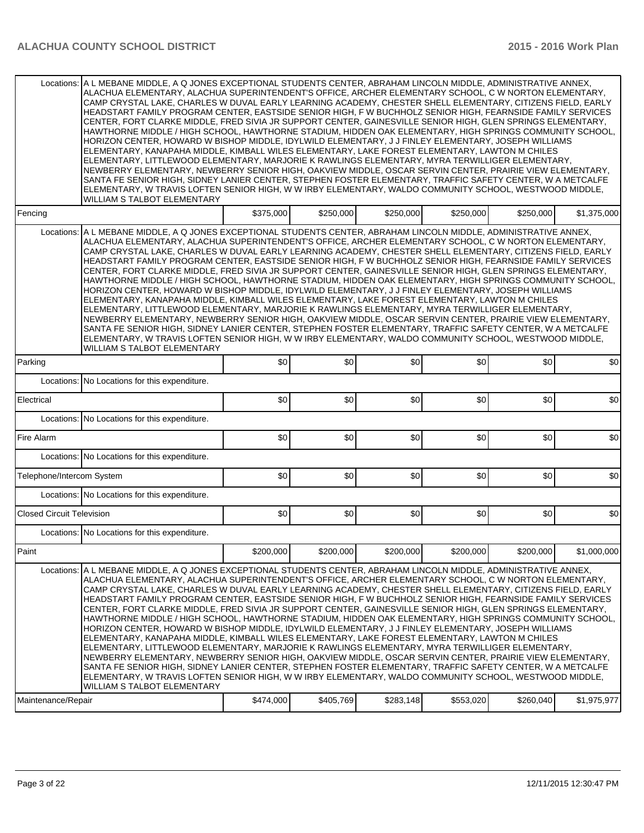| Locations:<br>Fencing<br>Locations:<br>Parking<br>Electrical<br>Fire Alarm<br>Telephone/Intercom System<br><b>Closed Circuit Television</b><br>Paint |                                                                                                                                                                                                                                                                                                                                                                                                                                                                                                                                                                                                                                                                                                                                                                                                                                                                                                                                                                                                                                                                                                                                                                                                                                                                                                                                                                   |           |           |           |           |           |             |
|------------------------------------------------------------------------------------------------------------------------------------------------------|-------------------------------------------------------------------------------------------------------------------------------------------------------------------------------------------------------------------------------------------------------------------------------------------------------------------------------------------------------------------------------------------------------------------------------------------------------------------------------------------------------------------------------------------------------------------------------------------------------------------------------------------------------------------------------------------------------------------------------------------------------------------------------------------------------------------------------------------------------------------------------------------------------------------------------------------------------------------------------------------------------------------------------------------------------------------------------------------------------------------------------------------------------------------------------------------------------------------------------------------------------------------------------------------------------------------------------------------------------------------|-----------|-----------|-----------|-----------|-----------|-------------|
|                                                                                                                                                      | A L MEBANE MIDDLE, A Q JONES EXCEPTIONAL STUDENTS CENTER, ABRAHAM LINCOLN MIDDLE, ADMINISTRATIVE ANNEX,<br>ALACHUA ELEMENTARY, ALACHUA SUPERINTENDENT'S OFFICE, ARCHER ELEMENTARY SCHOOL, C W NORTON ELEMENTARY,<br>CAMP CRYSTAL LAKE, CHARLES W DUVAL EARLY LEARNING ACADEMY, CHESTER SHELL ELEMENTARY, CITIZENS FIELD, EARLY<br>HEADSTART FAMILY PROGRAM CENTER, EASTSIDE SENIOR HIGH, F W BUCHHOLZ SENIOR HIGH, FEARNSIDE FAMILY SERVICES<br>CENTER, FORT CLARKE MIDDLE, FRED SIVIA JR SUPPORT CENTER, GAINESVILLE SENIOR HIGH, GLEN SPRINGS ELEMENTARY,<br>HAWTHORNE MIDDLE / HIGH SCHOOL, HAWTHORNE STADIUM, HIDDEN OAK ELEMENTARY, HIGH SPRINGS COMMUNITY SCHOOL,<br>HORIZON CENTER, HOWARD W BISHOP MIDDLE, IDYLWILD ELEMENTARY, J J FINLEY ELEMENTARY, JOSEPH WILLIAMS<br>ELEMENTARY, KANAPAHA MIDDLE, KIMBALL WILES ELEMENTARY, LAKE FOREST ELEMENTARY, LAWTON M CHILES<br>ELEMENTARY, LITTLEWOOD ELEMENTARY, MARJORIE K RAWLINGS ELEMENTARY, MYRA TERWILLIGER ELEMENTARY,<br>NEWBERRY ELEMENTARY, NEWBERRY SENIOR HIGH, OAKVIEW MIDDLE, OSCAR SERVIN CENTER, PRAIRIE VIEW ELEMENTARY,<br>SANTA FE SENIOR HIGH, SIDNEY LANIER CENTER, STEPHEN FOSTER ELEMENTARY, TRAFFIC SAFETY CENTER, W A METCALFE<br>ELEMENTARY, W TRAVIS LOFTEN SENIOR HIGH, W W IRBY ELEMENTARY, WALDO COMMUNITY SCHOOL, WESTWOOD MIDDLE,<br>WILLIAM S TALBOT ELEMENTARY            |           |           |           |           |           |             |
|                                                                                                                                                      |                                                                                                                                                                                                                                                                                                                                                                                                                                                                                                                                                                                                                                                                                                                                                                                                                                                                                                                                                                                                                                                                                                                                                                                                                                                                                                                                                                   | \$375,000 | \$250,000 | \$250,000 | \$250,000 | \$250,000 | \$1,375,000 |
|                                                                                                                                                      | A L MEBANE MIDDLE, A Q JONES EXCEPTIONAL STUDENTS CENTER, ABRAHAM LINCOLN MIDDLE, ADMINISTRATIVE ANNEX,<br>ALACHUA ELEMENTARY, ALACHUA SUPERINTENDENT'S OFFICE, ARCHER ELEMENTARY SCHOOL, C W NORTON ELEMENTARY,<br>CAMP CRYSTAL LAKE, CHARLES W DUVAL EARLY LEARNING ACADEMY, CHESTER SHELL ELEMENTARY, CITIZENS FIELD, EARLY<br>HEADSTART FAMILY PROGRAM CENTER, EASTSIDE SENIOR HIGH, F W BUCHHOLZ SENIOR HIGH, FEARNSIDE FAMILY SERVICES<br>CENTER, FORT CLARKE MIDDLE, FRED SIVIA JR SUPPORT CENTER, GAINESVILLE SENIOR HIGH, GLEN SPRINGS ELEMENTARY,<br>HAWTHORNE MIDDLE / HIGH SCHOOL, HAWTHORNE STADIUM, HIDDEN OAK ELEMENTARY, HIGH SPRINGS COMMUNITY SCHOOL,<br>HORIZON CENTER, HOWARD W BISHOP MIDDLE, IDYLWILD ELEMENTARY, J J FINLEY ELEMENTARY, JOSEPH WILLIAMS<br>ELEMENTARY, KANAPAHA MIDDLE, KIMBALL WILES ELEMENTARY, LAKE FOREST ELEMENTARY, LAWTON M CHILES<br>ELEMENTARY, LITTLEWOOD ELEMENTARY, MARJORIE K RAWLINGS ELEMENTARY, MYRA TERWILLIGER ELEMENTARY,<br>NEWBERRY ELEMENTARY, NEWBERRY SENIOR HIGH, OAKVIEW MIDDLE, OSCAR SERVIN CENTER, PRAIRIE VIEW ELEMENTARY,<br>SANTA FE SENIOR HIGH. SIDNEY LANIER CENTER. STEPHEN FOSTER ELEMENTARY. TRAFFIC SAFETY CENTER. W A METCALFE<br>ELEMENTARY, W TRAVIS LOFTEN SENIOR HIGH, W W IRBY ELEMENTARY, WALDO COMMUNITY SCHOOL, WESTWOOD MIDDLE,<br><b>WILLIAM S TALBOT ELEMENTARY</b>     |           |           |           |           |           |             |
|                                                                                                                                                      |                                                                                                                                                                                                                                                                                                                                                                                                                                                                                                                                                                                                                                                                                                                                                                                                                                                                                                                                                                                                                                                                                                                                                                                                                                                                                                                                                                   | \$0       | \$0       | \$0       | \$0       | \$0       | \$0         |
|                                                                                                                                                      | Locations: No Locations for this expenditure.                                                                                                                                                                                                                                                                                                                                                                                                                                                                                                                                                                                                                                                                                                                                                                                                                                                                                                                                                                                                                                                                                                                                                                                                                                                                                                                     |           |           |           |           |           |             |
|                                                                                                                                                      |                                                                                                                                                                                                                                                                                                                                                                                                                                                                                                                                                                                                                                                                                                                                                                                                                                                                                                                                                                                                                                                                                                                                                                                                                                                                                                                                                                   | \$0       | \$0       | \$0       | \$0       | \$0       | \$0         |
|                                                                                                                                                      | Locations: No Locations for this expenditure.                                                                                                                                                                                                                                                                                                                                                                                                                                                                                                                                                                                                                                                                                                                                                                                                                                                                                                                                                                                                                                                                                                                                                                                                                                                                                                                     |           |           |           |           |           |             |
|                                                                                                                                                      |                                                                                                                                                                                                                                                                                                                                                                                                                                                                                                                                                                                                                                                                                                                                                                                                                                                                                                                                                                                                                                                                                                                                                                                                                                                                                                                                                                   | \$0       | \$0       | \$0       | \$0       | \$0       | \$0         |
|                                                                                                                                                      | Locations: No Locations for this expenditure.                                                                                                                                                                                                                                                                                                                                                                                                                                                                                                                                                                                                                                                                                                                                                                                                                                                                                                                                                                                                                                                                                                                                                                                                                                                                                                                     |           |           |           |           |           |             |
|                                                                                                                                                      |                                                                                                                                                                                                                                                                                                                                                                                                                                                                                                                                                                                                                                                                                                                                                                                                                                                                                                                                                                                                                                                                                                                                                                                                                                                                                                                                                                   | \$0       | \$0       | \$0       | \$0       | \$0       | \$0         |
|                                                                                                                                                      | Locations: No Locations for this expenditure.                                                                                                                                                                                                                                                                                                                                                                                                                                                                                                                                                                                                                                                                                                                                                                                                                                                                                                                                                                                                                                                                                                                                                                                                                                                                                                                     |           |           |           |           |           |             |
|                                                                                                                                                      |                                                                                                                                                                                                                                                                                                                                                                                                                                                                                                                                                                                                                                                                                                                                                                                                                                                                                                                                                                                                                                                                                                                                                                                                                                                                                                                                                                   | \$0       | \$0       | \$0       | \$0       | \$0       | \$0         |
|                                                                                                                                                      | Locations: No Locations for this expenditure.                                                                                                                                                                                                                                                                                                                                                                                                                                                                                                                                                                                                                                                                                                                                                                                                                                                                                                                                                                                                                                                                                                                                                                                                                                                                                                                     |           |           |           |           |           |             |
|                                                                                                                                                      |                                                                                                                                                                                                                                                                                                                                                                                                                                                                                                                                                                                                                                                                                                                                                                                                                                                                                                                                                                                                                                                                                                                                                                                                                                                                                                                                                                   | \$200,000 | \$200,000 | \$200,000 | \$200,000 | \$200,000 | \$1,000,000 |
| Maintenance/Repair                                                                                                                                   | Locations: A L MEBANE MIDDLE, A Q JONES EXCEPTIONAL STUDENTS CENTER, ABRAHAM LINCOLN MIDDLE, ADMINISTRATIVE ANNEX,<br>ALACHUA ELEMENTARY, ALACHUA SUPERINTENDENT'S OFFICE, ARCHER ELEMENTARY SCHOOL, C W NORTON ELEMENTARY,<br>CAMP CRYSTAL LAKE, CHARLES W DUVAL EARLY LEARNING ACADEMY, CHESTER SHELL ELEMENTARY, CITIZENS FIELD, EARLY<br>HEADSTART FAMILY PROGRAM CENTER, EASTSIDE SENIOR HIGH, F W BUCHHOLZ SENIOR HIGH, FEARNSIDE FAMILY SERVICES<br>CENTER. FORT CLARKE MIDDLE. FRED SIVIA JR SUPPORT CENTER. GAINESVILLE SENIOR HIGH. GLEN SPRINGS ELEMENTARY.<br>HAWTHORNE MIDDLE / HIGH SCHOOL, HAWTHORNE STADIUM, HIDDEN OAK ELEMENTARY, HIGH SPRINGS COMMUNITY SCHOOL,<br>HORIZON CENTER, HOWARD W BISHOP MIDDLE, IDYLWILD ELEMENTARY, J J FINLEY ELEMENTARY, JOSEPH WILLIAMS<br>ELEMENTARY, KANAPAHA MIDDLE, KIMBALL WILES ELEMENTARY, LAKE FOREST ELEMENTARY, LAWTON M CHILES<br>ELEMENTARY, LITTLEWOOD ELEMENTARY, MARJORIE K RAWLINGS ELEMENTARY, MYRA TERWILLIGER ELEMENTARY,<br>NEWBERRY ELEMENTARY, NEWBERRY SENIOR HIGH, OAKVIEW MIDDLE, OSCAR SERVIN CENTER, PRAIRIE VIEW ELEMENTARY,<br>SANTA FE SENIOR HIGH, SIDNEY LANIER CENTER, STEPHEN FOSTER ELEMENTARY, TRAFFIC SAFETY CENTER, W A METCALFE<br>ELEMENTARY, W TRAVIS LOFTEN SENIOR HIGH, W W IRBY ELEMENTARY, WALDO COMMUNITY SCHOOL, WESTWOOD MIDDLE,<br>WILLIAM S TALBOT ELEMENTARY | \$474,000 | \$405,769 | \$283,148 | \$553,020 | \$260,040 | \$1,975,977 |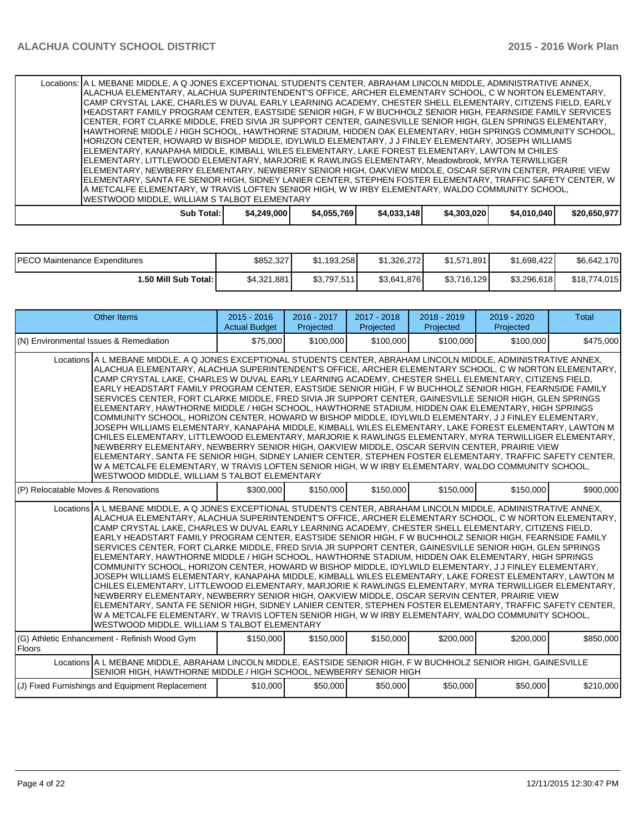| Locations:   A L MEBANE MIDDLE, A Q JONES EXCEPTIONAL STUDENTS CENTER, ABRAHAM LINCOLN MIDDLE, ADMINISTRATIVE ANNEX, |             |             |             |             |             |              |
|----------------------------------------------------------------------------------------------------------------------|-------------|-------------|-------------|-------------|-------------|--------------|
| ALACHUA ELEMENTARY, ALACHUA SUPERINTENDENT'S OFFICE, ARCHER ELEMENTARY SCHOOL, C W NORTON ELEMENTARY,                |             |             |             |             |             |              |
| CAMP CRYSTAL LAKE, CHARLES W DUVAL EARLY LEARNING ACADEMY, CHESTER SHELL ELEMENTARY, CITIZENS FIELD, EARLY           |             |             |             |             |             |              |
| HEADSTART FAMILY PROGRAM CENTER, EASTSIDE SENIOR HIGH, F W BUCHHOLZ SENIOR HIGH, FEARNSIDE FAMILY SERVICES           |             |             |             |             |             |              |
| CENTER, FORT CLARKE MIDDLE, FRED SIVIA JR SUPPORT CENTER, GAINESVILLE SENIOR HIGH, GLEN SPRINGS ELEMENTARY,          |             |             |             |             |             |              |
| HAWTHORNE MIDDLE / HIGH SCHOOL, HAWTHORNE STADIUM, HIDDEN OAK ELEMENTARY, HIGH SPRINGS COMMUNITY SCHOOL,             |             |             |             |             |             |              |
| HORIZON CENTER. HOWARD W BISHOP MIDDLE. IDYLWILD ELEMENTARY. J J FINLEY ELEMENTARY. JOSEPH WILLIAMS                  |             |             |             |             |             |              |
| ELEMENTARY, KANAPAHA MIDDLE, KIMBALL WILES ELEMENTARY, LAKE FOREST ELEMENTARY, LAWTON M CHILES                       |             |             |             |             |             |              |
| ELEMENTARY, LITTLEWOOD ELEMENTARY, MARJORIE K RAWLINGS ELEMENTARY, Meadowbrook, MYRA TERWILLIGER                     |             |             |             |             |             |              |
| IELEMENTARY, NEWBERRY ELEMENTARY, NEWBERRY SENIOR HIGH, OAKVIEW MIDDLE, OSCAR SERVIN CENTER, PRAIRIE VIEW            |             |             |             |             |             |              |
| ELEMENTARY, SANTA FE SENIOR HIGH, SIDNEY LANIER CENTER, STEPHEN FOSTER ELEMENTARY, TRAFFIC SAFETY CENTER, W          |             |             |             |             |             |              |
| A METCALFE ELEMENTARY. W TRAVIS LOFTEN SENIOR HIGH. W W IRBY ELEMENTARY. WALDO COMMUNITY SCHOOL.                     |             |             |             |             |             |              |
| IWESTWOOD MIDDLE, WILLIAM S TALBOT ELEMENTARY                                                                        |             |             |             |             |             |              |
| Sub Total: I                                                                                                         | \$4,249,000 | \$4,055,769 | \$4,033,148 | \$4,303,020 | \$4,010,040 | \$20,650,977 |

| <b>PECO Maintenance Expenditures</b> | \$852,327   | \$1.193.258 | \$1,326,272 | \$1,571,891 | \$1.698.422 | \$6,642,170  |
|--------------------------------------|-------------|-------------|-------------|-------------|-------------|--------------|
| 1.50 Mill Sub Total: I               | \$4,321,881 | \$3,797,511 | \$3,641,876 | \$3,716,129 | \$3.296.618 | \$18,774,015 |

| <b>Other Items</b>                                                                                                                                                                                                                                                                                                                                                                                                                                                                                                                                                                                                                                                                                                                                                                                                                                                                                                                                                                                                                                                                                                                                                                                                                                                                                                                                               | $2015 - 2016$<br><b>Actual Budget</b> | 2016 - 2017<br>Projected | 2017 - 2018<br>Projected | $2018 - 2019$<br>Projected | 2019 - 2020<br>Projected | <b>Total</b> |  |  |  |
|------------------------------------------------------------------------------------------------------------------------------------------------------------------------------------------------------------------------------------------------------------------------------------------------------------------------------------------------------------------------------------------------------------------------------------------------------------------------------------------------------------------------------------------------------------------------------------------------------------------------------------------------------------------------------------------------------------------------------------------------------------------------------------------------------------------------------------------------------------------------------------------------------------------------------------------------------------------------------------------------------------------------------------------------------------------------------------------------------------------------------------------------------------------------------------------------------------------------------------------------------------------------------------------------------------------------------------------------------------------|---------------------------------------|--------------------------|--------------------------|----------------------------|--------------------------|--------------|--|--|--|
| (N) Environmental Issues & Remediation                                                                                                                                                                                                                                                                                                                                                                                                                                                                                                                                                                                                                                                                                                                                                                                                                                                                                                                                                                                                                                                                                                                                                                                                                                                                                                                           | \$75,000                              | \$100,000                | \$100,000                | \$100,000                  | \$100,000                | \$475,000    |  |  |  |
| Locations A L MEBANE MIDDLE, A Q JONES EXCEPTIONAL STUDENTS CENTER, ABRAHAM LINCOLN MIDDLE, ADMINISTRATIVE ANNEX,<br>ALACHUA ELEMENTARY, ALACHUA SUPERINTENDENT'S OFFICE, ARCHER ELEMENTARY SCHOOL, C W NORTON ELEMENTARY,<br>CAMP CRYSTAL LAKE, CHARLES W DUVAL EARLY LEARNING ACADEMY, CHESTER SHELL ELEMENTARY, CITIZENS FIELD,<br>EARLY HEADSTART FAMILY PROGRAM CENTER, EASTSIDE SENIOR HIGH, FW BUCHHOLZ SENIOR HIGH, FEARNSIDE FAMILY<br>SERVICES CENTER. FORT CLARKE MIDDLE, FRED SIVIA JR SUPPORT CENTER, GAINESVILLE SENIOR HIGH, GLEN SPRINGS<br>ELEMENTARY, HAWTHORNE MIDDLE / HIGH SCHOOL, HAWTHORNE STADIUM, HIDDEN OAK ELEMENTARY, HIGH SPRINGS<br>COMMUNITY SCHOOL, HORIZON CENTER, HOWARD W BISHOP MIDDLE, IDYLWILD ELEMENTARY, J J FINLEY ELEMENTARY,<br>JOSEPH WILLIAMS ELEMENTARY, KANAPAHA MIDDLE, KIMBALL WILES ELEMENTARY, LAKE FOREST ELEMENTARY, LAWTON M<br>CHILES ELEMENTARY, LITTLEWOOD ELEMENTARY, MARJORIE K RAWLINGS ELEMENTARY, MYRA TERWILLIGER ELEMENTARY,<br>NEWBERRY ELEMENTARY, NEWBERRY SENIOR HIGH, OAKVIEW MIDDLE, OSCAR SERVIN CENTER, PRAIRIE VIEW<br>ELEMENTARY, SANTA FE SENIOR HIGH, SIDNEY LANIER CENTER, STEPHEN FOSTER ELEMENTARY, TRAFFIC SAFETY CENTER,<br>W A METCALFE ELEMENTARY, W TRAVIS LOFTEN SENIOR HIGH, W W IRBY ELEMENTARY, WALDO COMMUNITY SCHOOL,<br>WESTWOOD MIDDLE, WILLIAM S TALBOT ELEMENTARY  |                                       |                          |                          |                            |                          |              |  |  |  |
| (P) Relocatable Moves & Renovations                                                                                                                                                                                                                                                                                                                                                                                                                                                                                                                                                                                                                                                                                                                                                                                                                                                                                                                                                                                                                                                                                                                                                                                                                                                                                                                              | \$300,000                             | \$150,000                | \$150,000                | \$150,000                  | \$150,000                | \$900,000    |  |  |  |
| Locations A L MEBANE MIDDLE. A Q JONES EXCEPTIONAL STUDENTS CENTER. ABRAHAM LINCOLN MIDDLE. ADMINISTRATIVE ANNEX.<br>ALACHUA ELEMENTARY, ALACHUA SUPERINTENDENT'S OFFICE, ARCHER ELEMENTARY SCHOOL, C W NORTON ELEMENTARY,<br>CAMP CRYSTAL LAKE, CHARLES W DUVAL EARLY LEARNING ACADEMY, CHESTER SHELL ELEMENTARY, CITIZENS FIELD,<br>EARLY HEADSTART FAMILY PROGRAM CENTER, EASTSIDE SENIOR HIGH, F W BUCHHOLZ SENIOR HIGH, FEARNSIDE FAMILY<br>SERVICES CENTER, FORT CLARKE MIDDLE, FRED SIVIA JR SUPPORT CENTER, GAINESVILLE SENIOR HIGH, GLEN SPRINGS<br>ELEMENTARY, HAWTHORNE MIDDLE / HIGH SCHOOL, HAWTHORNE STADIUM, HIDDEN OAK ELEMENTARY, HIGH SPRINGS<br>COMMUNITY SCHOOL, HORIZON CENTER, HOWARD W BISHOP MIDDLE, IDYLWILD ELEMENTARY, J J FINLEY ELEMENTARY,<br>JOSEPH WILLIAMS ELEMENTARY. KANAPAHA MIDDLE. KIMBALL WILES ELEMENTARY. LAKE FOREST ELEMENTARY. LAWTON M<br>CHILES ELEMENTARY, LITTLEWOOD ELEMENTARY, MARJORIE K RAWLINGS ELEMENTARY, MYRA TERWILLIGER ELEMENTARY,<br>NEWBERRY ELEMENTARY, NEWBERRY SENIOR HIGH, OAKVIEW MIDDLE, OSCAR SERVIN CENTER, PRAIRIE VIEW<br>ELEMENTARY, SANTA FE SENIOR HIGH, SIDNEY LANIER CENTER, STEPHEN FOSTER ELEMENTARY, TRAFFIC SAFETY CENTER,<br>W A METCALFE ELEMENTARY, W TRAVIS LOFTEN SENIOR HIGH, W W IRBY ELEMENTARY, WALDO COMMUNITY SCHOOL,<br>WESTWOOD MIDDLE, WILLIAM S TALBOT ELEMENTARY |                                       |                          |                          |                            |                          |              |  |  |  |
| (G) Athletic Enhancement - Refinish Wood Gym<br>Floors                                                                                                                                                                                                                                                                                                                                                                                                                                                                                                                                                                                                                                                                                                                                                                                                                                                                                                                                                                                                                                                                                                                                                                                                                                                                                                           | \$150,000                             | \$150,000                | \$150,000                | \$200,000                  | \$200,000                | \$850,000    |  |  |  |
| Locations A L MEBANE MIDDLE, ABRAHAM LINCOLN MIDDLE, EASTSIDE SENIOR HIGH, F W BUCHHOLZ SENIOR HIGH, GAINESVILLE<br>SENIOR HIGH, HAWTHORNE MIDDLE / HIGH SCHOOL, NEWBERRY SENIOR HIGH                                                                                                                                                                                                                                                                                                                                                                                                                                                                                                                                                                                                                                                                                                                                                                                                                                                                                                                                                                                                                                                                                                                                                                            |                                       |                          |                          |                            |                          |              |  |  |  |
| (J) Fixed Furnishings and Equipment Replacement                                                                                                                                                                                                                                                                                                                                                                                                                                                                                                                                                                                                                                                                                                                                                                                                                                                                                                                                                                                                                                                                                                                                                                                                                                                                                                                  | \$10,000                              | \$50,000                 | \$50,000                 | \$50,000                   | \$50,000                 | \$210,000    |  |  |  |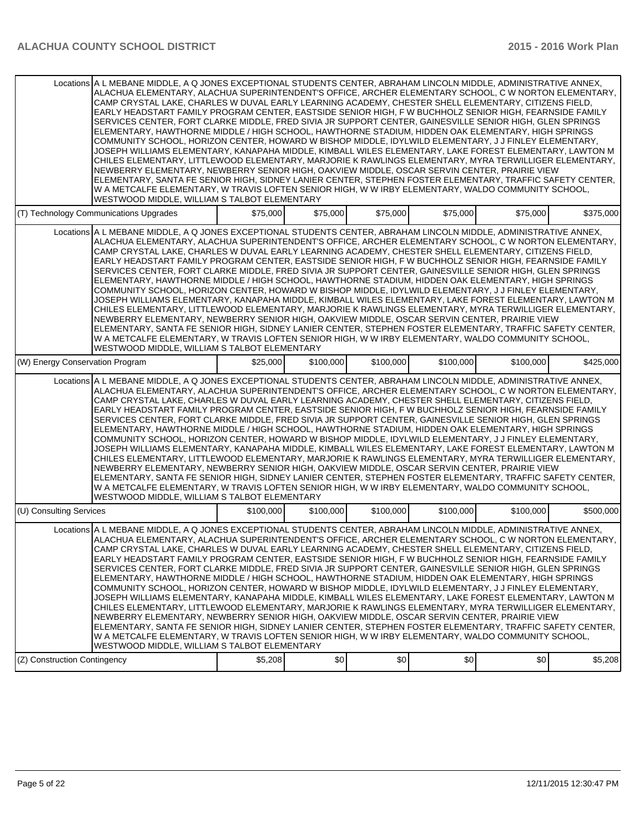| Locations A L MEBANE MIDDLE, A Q JONES EXCEPTIONAL STUDENTS CENTER, ABRAHAM LINCOLN MIDDLE, ADMINISTRATIVE ANNEX,<br>ALACHUA ELEMENTARY, ALACHUA SUPERINTENDENT'S OFFICE, ARCHER ELEMENTARY SCHOOL, C W NORTON ELEMENTARY,<br>CAMP CRYSTAL LAKE, CHARLES W DUVAL EARLY LEARNING ACADEMY, CHESTER SHELL ELEMENTARY, CITIZENS FIELD,<br>EARLY HEADSTART FAMILY PROGRAM CENTER, EASTSIDE SENIOR HIGH, F W BUCHHOLZ SENIOR HIGH, FEARNSIDE FAMILY<br>SERVICES CENTER, FORT CLARKE MIDDLE, FRED SIVIA JR SUPPORT CENTER, GAINESVILLE SENIOR HIGH, GLEN SPRINGS<br>ELEMENTARY, HAWTHORNE MIDDLE / HIGH SCHOOL, HAWTHORNE STADIUM, HIDDEN OAK ELEMENTARY, HIGH SPRINGS<br>COMMUNITY SCHOOL, HORIZON CENTER, HOWARD W BISHOP MIDDLE, IDYLWILD ELEMENTARY, J J FINLEY ELEMENTARY,<br>JOSEPH WILLIAMS ELEMENTARY, KANAPAHA MIDDLE, KIMBALL WILES ELEMENTARY, LAKE FOREST ELEMENTARY, LAWTON M<br>CHILES ELEMENTARY, LITTLEWOOD ELEMENTARY, MARJORIE K RAWLINGS ELEMENTARY, MYRA TERWILLIGER ELEMENTARY,<br>NEWBERRY ELEMENTARY, NEWBERRY SENIOR HIGH, OAKVIEW MIDDLE, OSCAR SERVIN CENTER, PRAIRIE VIEW<br>ELEMENTARY, SANTA FE SENIOR HIGH, SIDNEY LANIER CENTER, STEPHEN FOSTER ELEMENTARY, TRAFFIC SAFETY CENTER,<br>W A METCALFE ELEMENTARY, W TRAVIS LOFTEN SENIOR HIGH, W W IRBY ELEMENTARY, WALDO COMMUNITY SCHOOL,<br>WESTWOOD MIDDLE, WILLIAM S TALBOT ELEMENTARY |           |           |           |           |           |           |
|------------------------------------------------------------------------------------------------------------------------------------------------------------------------------------------------------------------------------------------------------------------------------------------------------------------------------------------------------------------------------------------------------------------------------------------------------------------------------------------------------------------------------------------------------------------------------------------------------------------------------------------------------------------------------------------------------------------------------------------------------------------------------------------------------------------------------------------------------------------------------------------------------------------------------------------------------------------------------------------------------------------------------------------------------------------------------------------------------------------------------------------------------------------------------------------------------------------------------------------------------------------------------------------------------------------------------------------------------------------|-----------|-----------|-----------|-----------|-----------|-----------|
| (T) Technology Communications Upgrades                                                                                                                                                                                                                                                                                                                                                                                                                                                                                                                                                                                                                                                                                                                                                                                                                                                                                                                                                                                                                                                                                                                                                                                                                                                                                                                           | \$75,000  | \$75,000  | \$75,000  | \$75,000  | \$75,000  | \$375.000 |
| Locations A L MEBANE MIDDLE, A Q JONES EXCEPTIONAL STUDENTS CENTER, ABRAHAM LINCOLN MIDDLE, ADMINISTRATIVE ANNEX,<br>ALACHUA ELEMENTARY, ALACHUA SUPERINTENDENT'S OFFICE, ARCHER ELEMENTARY SCHOOL, C W NORTON ELEMENTARY,<br>CAMP CRYSTAL LAKE, CHARLES W DUVAL EARLY LEARNING ACADEMY, CHESTER SHELL ELEMENTARY, CITIZENS FIELD,<br>EARLY HEADSTART FAMILY PROGRAM CENTER, EASTSIDE SENIOR HIGH, F W BUCHHOLZ SENIOR HIGH, FEARNSIDE FAMILY<br>SERVICES CENTER, FORT CLARKE MIDDLE, FRED SIVIA JR SUPPORT CENTER, GAINESVILLE SENIOR HIGH, GLEN SPRINGS<br>ELEMENTARY, HAWTHORNE MIDDLE / HIGH SCHOOL, HAWTHORNE STADIUM, HIDDEN OAK ELEMENTARY, HIGH SPRINGS<br>COMMUNITY SCHOOL, HORIZON CENTER, HOWARD W BISHOP MIDDLE, IDYLWILD ELEMENTARY, J J FINLEY ELEMENTARY,<br>JOSEPH WILLIAMS ELEMENTARY, KANAPAHA MIDDLE, KIMBALL WILES ELEMENTARY, LAKE FOREST ELEMENTARY, LAWTON M<br>CHILES ELEMENTARY, LITTLEWOOD ELEMENTARY, MARJORIE K RAWLINGS ELEMENTARY, MYRA TERWILLIGER ELEMENTARY,<br>NEWBERRY ELEMENTARY, NEWBERRY SENIOR HIGH, OAKVIEW MIDDLE, OSCAR SERVIN CENTER, PRAIRIE VIEW<br>ELEMENTARY, SANTA FE SENIOR HIGH, SIDNEY LANIER CENTER, STEPHEN FOSTER ELEMENTARY, TRAFFIC SAFETY CENTER,<br>W A METCALFE ELEMENTARY, W TRAVIS LOFTEN SENIOR HIGH, W W IRBY ELEMENTARY, WALDO COMMUNITY SCHOOL,<br>WESTWOOD MIDDLE, WILLIAM S TALBOT ELEMENTARY |           |           |           |           |           |           |
| (W) Energy Conservation Program                                                                                                                                                                                                                                                                                                                                                                                                                                                                                                                                                                                                                                                                                                                                                                                                                                                                                                                                                                                                                                                                                                                                                                                                                                                                                                                                  | \$25,000  | \$100,000 | \$100,000 | \$100,000 | \$100,000 | \$425,000 |
| Locations A L MEBANE MIDDLE, A Q JONES EXCEPTIONAL STUDENTS CENTER, ABRAHAM LINCOLN MIDDLE, ADMINISTRATIVE ANNEX,<br>ALACHUA ELEMENTARY, ALACHUA SUPERINTENDENT'S OFFICE, ARCHER ELEMENTARY SCHOOL, C W NORTON ELEMENTARY,<br>CAMP CRYSTAL LAKE, CHARLES W DUVAL EARLY LEARNING ACADEMY, CHESTER SHELL ELEMENTARY, CITIZENS FIELD,<br>EARLY HEADSTART FAMILY PROGRAM CENTER, EASTSIDE SENIOR HIGH, F W BUCHHOLZ SENIOR HIGH, FEARNSIDE FAMILY<br>SERVICES CENTER, FORT CLARKE MIDDLE, FRED SIVIA JR SUPPORT CENTER, GAINESVILLE SENIOR HIGH, GLEN SPRINGS<br>ELEMENTARY, HAWTHORNE MIDDLE / HIGH SCHOOL, HAWTHORNE STADIUM, HIDDEN OAK ELEMENTARY, HIGH SPRINGS<br>COMMUNITY SCHOOL, HORIZON CENTER, HOWARD W BISHOP MIDDLE, IDYLWILD ELEMENTARY, J J FINLEY ELEMENTARY,<br>JOSEPH WILLIAMS ELEMENTARY, KANAPAHA MIDDLE, KIMBALL WILES ELEMENTARY, LAKE FOREST ELEMENTARY, LAWTON M<br>CHILES ELEMENTARY, LITTLEWOOD ELEMENTARY, MARJORIE K RAWLINGS ELEMENTARY, MYRA TERWILLIGER ELEMENTARY,<br>NEWBERRY ELEMENTARY, NEWBERRY SENIOR HIGH, OAKVIEW MIDDLE, OSCAR SERVIN CENTER, PRAIRIE VIEW<br>ELEMENTARY, SANTA FE SENIOR HIGH, SIDNEY LANIER CENTER, STEPHEN FOSTER ELEMENTARY, TRAFFIC SAFETY CENTER,<br>W A METCALFE ELEMENTARY, W TRAVIS LOFTEN SENIOR HIGH, W W IRBY ELEMENTARY, WALDO COMMUNITY SCHOOL,<br>WESTWOOD MIDDLE, WILLIAM S TALBOT ELEMENTARY |           |           |           |           |           |           |
| (U) Consulting Services                                                                                                                                                                                                                                                                                                                                                                                                                                                                                                                                                                                                                                                                                                                                                                                                                                                                                                                                                                                                                                                                                                                                                                                                                                                                                                                                          | \$100,000 | \$100,000 | \$100,000 | \$100,000 | \$100,000 | \$500,000 |
| Locations A L MEBANE MIDDLE, A Q JONES EXCEPTIONAL STUDENTS CENTER, ABRAHAM LINCOLN MIDDLE, ADMINISTRATIVE ANNEX,<br>ALACHUA ELEMENTARY, ALACHUA SUPERINTENDENT'S OFFICE, ARCHER ELEMENTARY SCHOOL, C W NORTON ELEMENTARY,<br>CAMP CRYSTAL LAKE, CHARLES W DUVAL EARLY LEARNING ACADEMY, CHESTER SHELL ELEMENTARY, CITIZENS FIELD,<br>EARLY HEADSTART FAMILY PROGRAM CENTER, EASTSIDE SENIOR HIGH, F W BUCHHOLZ SENIOR HIGH, FEARNSIDE FAMILY<br>SERVICES CENTER, FORT CLARKE MIDDLE, FRED SIVIA JR SUPPORT CENTER, GAINESVILLE SENIOR HIGH, GLEN SPRINGS<br>ELEMENTARY, HAWTHORNE MIDDLE / HIGH SCHOOL, HAWTHORNE STADIUM, HIDDEN OAK ELEMENTARY, HIGH SPRINGS<br>COMMUNITY SCHOOL, HORIZON CENTER, HOWARD W BISHOP MIDDLE, IDYLWILD ELEMENTARY, J J FINLEY ELEMENTARY,<br>JOSEPH WILLIAMS ELEMENTARY, KANAPAHA MIDDLE, KIMBALL WILES ELEMENTARY, LAKE FOREST ELEMENTARY, LAWTON M<br>CHILES ELEMENTARY, LITTLEWOOD ELEMENTARY, MARJORIE K RAWLINGS ELEMENTARY, MYRA TERWILLIGER ELEMENTARY,<br>NEWBERRY ELEMENTARY, NEWBERRY SENIOR HIGH, OAKVIEW MIDDLE, OSCAR SERVIN CENTER, PRAIRIE VIEW<br>ELEMENTARY, SANTA FE SENIOR HIGH, SIDNEY LANIER CENTER, STEPHEN FOSTER ELEMENTARY, TRAFFIC SAFETY CENTER,<br>W A METCALFE ELEMENTARY, W TRAVIS LOFTEN SENIOR HIGH, W W IRBY ELEMENTARY, WALDO COMMUNITY SCHOOL,<br>WESTWOOD MIDDLE, WILLIAM S TALBOT ELEMENTARY |           |           |           |           |           |           |
| (Z) Construction Contingency                                                                                                                                                                                                                                                                                                                                                                                                                                                                                                                                                                                                                                                                                                                                                                                                                                                                                                                                                                                                                                                                                                                                                                                                                                                                                                                                     | \$5,208   | \$0]      | \$0       | \$0       | \$0       | \$5,208   |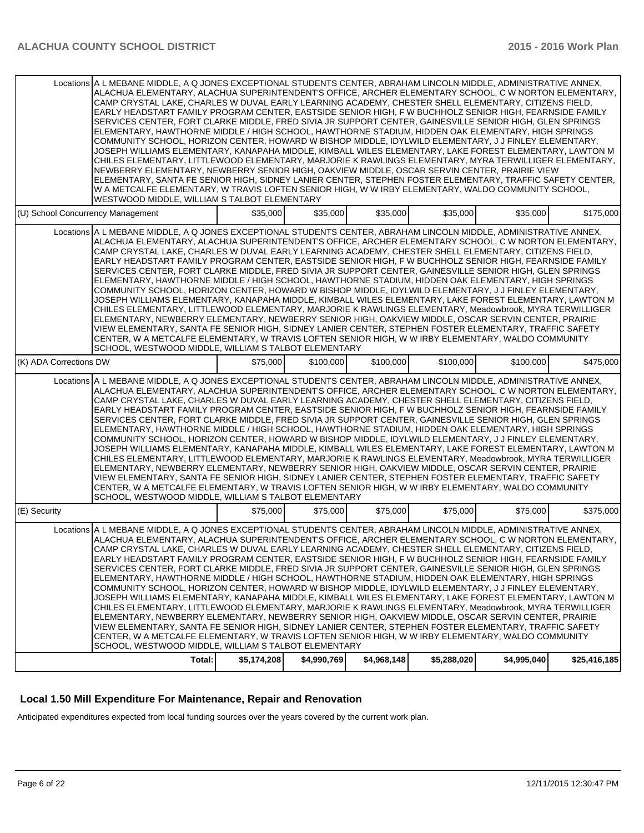| Locations A L MEBANE MIDDLE, A Q JONES EXCEPTIONAL STUDENTS CENTER, ABRAHAM LINCOLN MIDDLE, ADMINISTRATIVE ANNEX,<br>ALACHUA ELEMENTARY, ALACHUA SUPERINTENDENT'S OFFICE, ARCHER ELEMENTARY SCHOOL, C W NORTON ELEMENTARY,<br>CAMP CRYSTAL LAKE, CHARLES W DUVAL EARLY LEARNING ACADEMY, CHESTER SHELL ELEMENTARY, CITIZENS FIELD,<br>EARLY HEADSTART FAMILY PROGRAM CENTER, EASTSIDE SENIOR HIGH, FW BUCHHOLZ SENIOR HIGH, FEARNSIDE FAMILY<br>SERVICES CENTER, FORT CLARKE MIDDLE, FRED SIVIA JR SUPPORT CENTER, GAINESVILLE SENIOR HIGH, GLEN SPRINGS<br>ELEMENTARY, HAWTHORNE MIDDLE / HIGH SCHOOL, HAWTHORNE STADIUM, HIDDEN OAK ELEMENTARY, HIGH SPRINGS<br>COMMUNITY SCHOOL, HORIZON CENTER, HOWARD W BISHOP MIDDLE, IDYLWILD ELEMENTARY, J J FINLEY ELEMENTARY,<br>JOSEPH WILLIAMS ELEMENTARY, KANAPAHA MIDDLE, KIMBALL WILES ELEMENTARY, LAKE FOREST ELEMENTARY, LAWTON M<br>CHILES ELEMENTARY, LITTLEWOOD ELEMENTARY, MARJORIE K RAWLINGS ELEMENTARY, MYRA TERWILLIGER ELEMENTARY,<br>NEWBERRY ELEMENTARY, NEWBERRY SENIOR HIGH, OAKVIEW MIDDLE, OSCAR SERVIN CENTER, PRAIRIE VIEW<br>ELEMENTARY, SANTA FE SENIOR HIGH, SIDNEY LANIER CENTER, STEPHEN FOSTER ELEMENTARY, TRAFFIC SAFETY CENTER,<br>W A METCALFE ELEMENTARY, W TRAVIS LOFTEN SENIOR HIGH, W W IRBY ELEMENTARY, WALDO COMMUNITY SCHOOL,<br>WESTWOOD MIDDLE, WILLIAM S TALBOT ELEMENTARY               |          |           |           |           |           |           |
|-------------------------------------------------------------------------------------------------------------------------------------------------------------------------------------------------------------------------------------------------------------------------------------------------------------------------------------------------------------------------------------------------------------------------------------------------------------------------------------------------------------------------------------------------------------------------------------------------------------------------------------------------------------------------------------------------------------------------------------------------------------------------------------------------------------------------------------------------------------------------------------------------------------------------------------------------------------------------------------------------------------------------------------------------------------------------------------------------------------------------------------------------------------------------------------------------------------------------------------------------------------------------------------------------------------------------------------------------------------------------------|----------|-----------|-----------|-----------|-----------|-----------|
| (U) School Concurrency Management                                                                                                                                                                                                                                                                                                                                                                                                                                                                                                                                                                                                                                                                                                                                                                                                                                                                                                                                                                                                                                                                                                                                                                                                                                                                                                                                             | \$35,000 | \$35,000  | \$35,000  | \$35,000  | \$35,000  | \$175.000 |
| Locations A L MEBANE MIDDLE, A Q JONES EXCEPTIONAL STUDENTS CENTER, ABRAHAM LINCOLN MIDDLE, ADMINISTRATIVE ANNEX,<br>ALACHUA ELEMENTARY, ALACHUA SUPERINTENDENT'S OFFICE, ARCHER ELEMENTARY SCHOOL, C W NORTON ELEMENTARY,<br>CAMP CRYSTAL LAKE, CHARLES W DUVAL EARLY LEARNING ACADEMY, CHESTER SHELL ELEMENTARY, CITIZENS FIELD,<br>EARLY HEADSTART FAMILY PROGRAM CENTER, EASTSIDE SENIOR HIGH, F W BUCHHOLZ SENIOR HIGH, FEARNSIDE FAMILY<br>SERVICES CENTER, FORT CLARKE MIDDLE, FRED SIVIA JR SUPPORT CENTER, GAINESVILLE SENIOR HIGH, GLEN SPRINGS<br>ELEMENTARY, HAWTHORNE MIDDLE / HIGH SCHOOL, HAWTHORNE STADIUM, HIDDEN OAK ELEMENTARY, HIGH SPRINGS<br>COMMUNITY SCHOOL, HORIZON CENTER, HOWARD W BISHOP MIDDLE, IDYLWILD ELEMENTARY, J J FINLEY ELEMENTARY,<br>JOSEPH WILLIAMS ELEMENTARY, KANAPAHA MIDDLE, KIMBALL WILES ELEMENTARY, LAKE FOREST ELEMENTARY, LAWTON M<br>CHILES ELEMENTARY, LITTLEWOOD ELEMENTARY, MARJORIE K RAWLINGS ELEMENTARY, Meadowbrook, MYRA TERWILLIGER<br>ELEMENTARY, NEWBERRY ELEMENTARY, NEWBERRY SENIOR HIGH, OAKVIEW MIDDLE, OSCAR SERVIN CENTER, PRAIRIE<br>VIEW ELEMENTARY, SANTA FE SENIOR HIGH, SIDNEY LANIER CENTER, STEPHEN FOSTER ELEMENTARY, TRAFFIC SAFETY<br>CENTER, W A METCALFE ELEMENTARY, W TRAVIS LOFTEN SENIOR HIGH, W W IRBY ELEMENTARY, WALDO COMMUNITY<br>SCHOOL, WESTWOOD MIDDLE, WILLIAM S TALBOT ELEMENTARY |          |           |           |           |           |           |
| (K) ADA Corrections DW                                                                                                                                                                                                                                                                                                                                                                                                                                                                                                                                                                                                                                                                                                                                                                                                                                                                                                                                                                                                                                                                                                                                                                                                                                                                                                                                                        | \$75,000 | \$100,000 | \$100,000 | \$100,000 | \$100,000 | \$475,000 |
| Locations A L MEBANE MIDDLE, A Q JONES EXCEPTIONAL STUDENTS CENTER, ABRAHAM LINCOLN MIDDLE, ADMINISTRATIVE ANNEX,<br>ALACHUA ELEMENTARY, ALACHUA SUPERINTENDENT'S OFFICE, ARCHER ELEMENTARY SCHOOL, C W NORTON ELEMENTARY,<br>CAMP CRYSTAL LAKE, CHARLES W DUVAL EARLY LEARNING ACADEMY, CHESTER SHELL ELEMENTARY, CITIZENS FIELD,<br>EARLY HEADSTART FAMILY PROGRAM CENTER, EASTSIDE SENIOR HIGH, FW BUCHHOLZ SENIOR HIGH, FEARNSIDE FAMILY<br>SERVICES CENTER, FORT CLARKE MIDDLE, FRED SIVIA JR SUPPORT CENTER, GAINESVILLE SENIOR HIGH, GLEN SPRINGS<br>ELEMENTARY, HAWTHORNE MIDDLE / HIGH SCHOOL, HAWTHORNE STADIUM, HIDDEN OAK ELEMENTARY, HIGH SPRINGS<br>COMMUNITY SCHOOL, HORIZON CENTER, HOWARD W BISHOP MIDDLE, IDYLWILD ELEMENTARY, J J FINLEY ELEMENTARY,<br>JOSEPH WILLIAMS ELEMENTARY, KANAPAHA MIDDLE, KIMBALL WILES ELEMENTARY, LAKE FOREST ELEMENTARY, LAWTON M<br>CHILES ELEMENTARY, LITTLEWOOD ELEMENTARY, MARJORIE K RAWLINGS ELEMENTARY, Meadowbrook, MYRA TERWILLIGER<br>ELEMENTARY, NEWBERRY ELEMENTARY, NEWBERRY SENIOR HIGH, OAKVIEW MIDDLE, OSCAR SERVIN CENTER, PRAIRIE<br>VIEW ELEMENTARY, SANTA FE SENIOR HIGH, SIDNEY LANIER CENTER, STEPHEN FOSTER ELEMENTARY, TRAFFIC SAFETY<br>CENTER, W A METCALFE ELEMENTARY, W TRAVIS LOFTEN SENIOR HIGH, W W IRBY ELEMENTARY, WALDO COMMUNITY<br>SCHOOL, WESTWOOD MIDDLE, WILLIAM S TALBOT ELEMENTARY  |          |           |           |           |           |           |
| (E) Security                                                                                                                                                                                                                                                                                                                                                                                                                                                                                                                                                                                                                                                                                                                                                                                                                                                                                                                                                                                                                                                                                                                                                                                                                                                                                                                                                                  | \$75,000 | \$75,000  | \$75,000  | \$75,000  | \$75,000  | \$375,000 |
| Locations A L MEBANE MIDDLE, A Q JONES EXCEPTIONAL STUDENTS CENTER, ABRAHAM LINCOLN MIDDLE, ADMINISTRATIVE ANNEX,<br>ALACHUA ELEMENTARY, ALACHUA SUPERINTENDENT'S OFFICE, ARCHER ELEMENTARY SCHOOL, C W NORTON ELEMENTARY,<br>CAMP CRYSTAL LAKE, CHARLES W DUVAL EARLY LEARNING ACADEMY, CHESTER SHELL ELEMENTARY, CITIZENS FIELD,<br>EARLY HEADSTART FAMILY PROGRAM CENTER, EASTSIDE SENIOR HIGH, F W BUCHHOLZ SENIOR HIGH, FEARNSIDE FAMILY<br>SERVICES CENTER, FORT CLARKE MIDDLE, FRED SIVIA JR SUPPORT CENTER, GAINESVILLE SENIOR HIGH, GLEN SPRINGS<br>ELEMENTARY, HAWTHORNE MIDDLE / HIGH SCHOOL, HAWTHORNE STADIUM, HIDDEN OAK ELEMENTARY, HIGH SPRINGS<br>COMMUNITY SCHOOL, HORIZON CENTER, HOWARD W BISHOP MIDDLE, IDYLWILD ELEMENTARY, J J FINLEY ELEMENTARY,<br>JOSEPH WILLIAMS ELEMENTARY, KANAPAHA MIDDLE, KIMBALL WILES ELEMENTARY, LAKE FOREST ELEMENTARY, LAWTON M<br>CHILES ELEMENTARY, LITTLEWOOD ELEMENTARY, MARJORIE K RAWLINGS ELEMENTARY, Meadowbrook, MYRA TERWILLIGER<br>ELEMENTARY, NEWBERRY ELEMENTARY, NEWBERRY SENIOR HIGH, OAKVIEW MIDDLE, OSCAR SERVIN CENTER, PRAIRIE<br>VIEW ELEMENTARY, SANTA FE SENIOR HIGH, SIDNEY LANIER CENTER, STEPHEN FOSTER ELEMENTARY, TRAFFIC SAFETY<br>CENTER, W A METCALFE ELEMENTARY, W TRAVIS LOFTEN SENIOR HIGH, W W IRBY ELEMENTARY, WALDO COMMUNITY<br>SCHOOL, WESTWOOD MIDDLE, WILLIAM S TALBOT ELEMENTARY |          |           |           |           |           |           |

## **Local 1.50 Mill Expenditure For Maintenance, Repair and Renovation**

Anticipated expenditures expected from local funding sources over the years covered by the current work plan.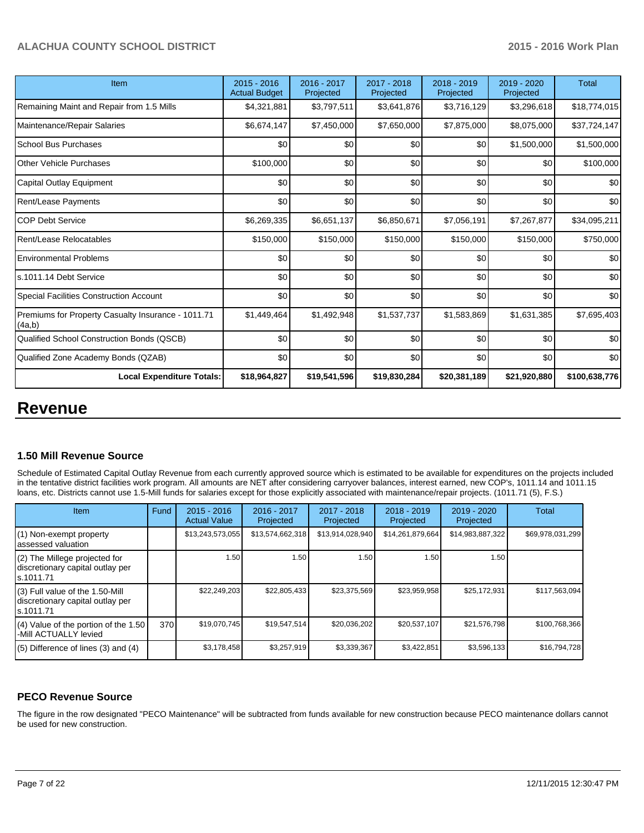| Item                                                         | 2015 - 2016<br><b>Actual Budget</b> | 2016 - 2017<br>Projected | 2017 - 2018<br>Projected | 2018 - 2019<br>Projected | $2019 - 2020$<br>Projected | Total         |
|--------------------------------------------------------------|-------------------------------------|--------------------------|--------------------------|--------------------------|----------------------------|---------------|
| Remaining Maint and Repair from 1.5 Mills                    | \$4,321,881                         | \$3,797,511              | \$3,641,876              | \$3,716,129              | \$3,296,618                | \$18,774,015  |
| Maintenance/Repair Salaries                                  | \$6,674,147                         | \$7,450,000              | \$7,650,000              | \$7,875,000              | \$8,075,000                | \$37,724,147  |
| School Bus Purchases                                         | \$0                                 | \$0                      | \$0                      | \$0                      | \$1,500,000                | \$1,500,000   |
| <b>Other Vehicle Purchases</b>                               | \$100,000                           | \$0                      | \$0                      | \$0                      | \$0                        | \$100,000     |
| Capital Outlay Equipment                                     | \$0                                 | \$0                      | \$0                      | \$0                      | \$0                        | \$0           |
| Rent/Lease Payments                                          | \$0                                 | \$0                      | \$0                      | \$0                      | \$0                        | \$0           |
| <b>COP Debt Service</b>                                      | \$6,269,335                         | \$6,651,137              | \$6,850,671              | \$7,056,191              | \$7,267,877                | \$34,095,211  |
| Rent/Lease Relocatables                                      | \$150,000                           | \$150,000                | \$150,000                | \$150,000                | \$150,000                  | \$750,000     |
| <b>Environmental Problems</b>                                | \$0                                 | \$0                      | \$0                      | \$0                      | \$0                        | \$0           |
| s.1011.14 Debt Service                                       | \$0                                 | \$0                      | \$0                      | \$0                      | \$0                        | \$0           |
| Special Facilities Construction Account                      | \$0                                 | \$0                      | \$0                      | \$0                      | \$0                        | \$0           |
| Premiums for Property Casualty Insurance - 1011.71<br>(4a,b) | \$1,449,464                         | \$1,492,948              | \$1,537,737              | \$1,583,869              | \$1,631,385                | \$7,695,403   |
| Qualified School Construction Bonds (QSCB)                   | \$0                                 | \$0                      | \$0                      | \$0                      | \$0                        | \$0           |
| Qualified Zone Academy Bonds (QZAB)                          | \$0                                 | \$0                      | \$0                      | \$0                      | \$0                        | \$0           |
| <b>Local Expenditure Totals:</b>                             | \$18,964,827                        | \$19,541,596             | \$19,830,284             | \$20,381,189             | \$21,920,880               | \$100,638,776 |

# **Revenue**

## **1.50 Mill Revenue Source**

Schedule of Estimated Capital Outlay Revenue from each currently approved source which is estimated to be available for expenditures on the projects included in the tentative district facilities work program. All amounts are NET after considering carryover balances, interest earned, new COP's, 1011.14 and 1011.15 loans, etc. Districts cannot use 1.5-Mill funds for salaries except for those explicitly associated with maintenance/repair projects. (1011.71 (5), F.S.)

| Item                                                                             | Fund | $2015 - 2016$<br><b>Actual Value</b> | 2016 - 2017<br>Projected | 2017 - 2018<br>Projected | $2018 - 2019$<br>Projected | 2019 - 2020<br>Projected | Total            |
|----------------------------------------------------------------------------------|------|--------------------------------------|--------------------------|--------------------------|----------------------------|--------------------------|------------------|
| (1) Non-exempt property<br>assessed valuation                                    |      | \$13,243,573,055                     | \$13,574,662,318         | \$13,914,028,940         | \$14,261,879,664           | \$14,983,887,322         | \$69,978,031,299 |
| (2) The Millege projected for<br>discretionary capital outlay per<br>ls.1011.71  |      | 1.50                                 | 1.50 l                   | 1.50                     | 1.50                       | 1.50                     |                  |
| (3) Full value of the 1.50-Mill<br>discretionary capital outlay per<br>s.1011.71 |      | \$22,249,203                         | \$22,805,433             | \$23,375,569             | \$23,959,958               | \$25,172,931             | \$117,563,094    |
| (4) Value of the portion of the 1.50<br>-Mill ACTUALLY levied                    | 370  | \$19,070,745                         | \$19,547,514             | \$20,036,202             | \$20,537,107               | \$21,576,798             | \$100,768,366    |
| $(5)$ Difference of lines (3) and (4)                                            |      | \$3,178,458                          | \$3.257.919              | \$3,339,367              | \$3,422,851                | \$3,596,133              | \$16,794,728     |

## **PECO Revenue Source**

The figure in the row designated "PECO Maintenance" will be subtracted from funds available for new construction because PECO maintenance dollars cannot be used for new construction.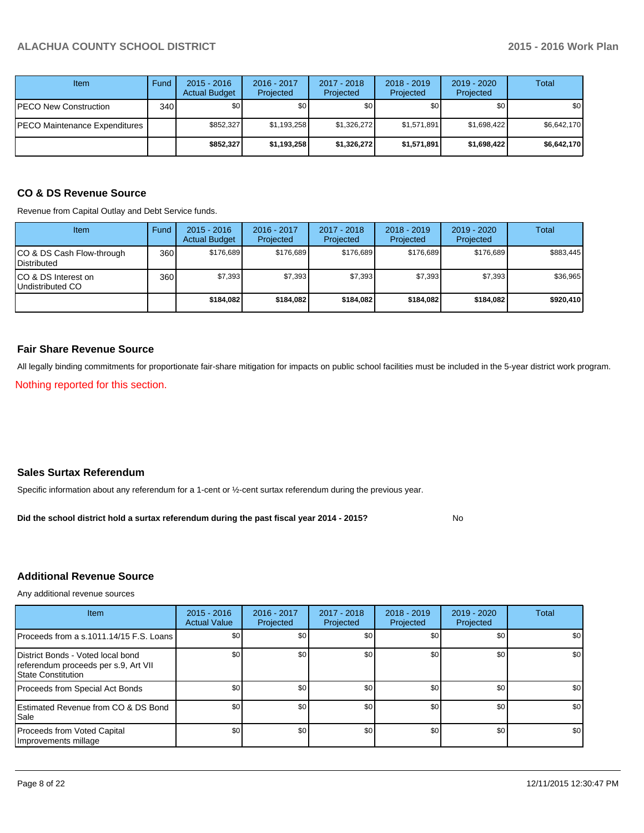| Item                          | Fund             | $2015 - 2016$<br><b>Actual Budget</b> | 2016 - 2017<br>Projected | $2017 - 2018$<br>Projected | $2018 - 2019$<br>Projected | $2019 - 2020$<br>Projected | Total       |
|-------------------------------|------------------|---------------------------------------|--------------------------|----------------------------|----------------------------|----------------------------|-------------|
| PECO New Construction         | 340 <sup>l</sup> | \$0                                   | \$0                      | \$0                        | \$0                        | \$0                        | \$0         |
| PECO Maintenance Expenditures |                  | \$852,327                             | \$1,193,258              | \$1,326,272                | \$1,571,891                | \$1,698,422                | \$6,642,170 |
|                               |                  | \$852,327                             | \$1,193,258              | \$1,326,272                | \$1,571,891                | \$1,698,422                | \$6,642,170 |

# **CO & DS Revenue Source**

Revenue from Capital Outlay and Debt Service funds.

| <b>Item</b>                                      | Fund | $2015 - 2016$<br><b>Actual Budget</b> | $2016 - 2017$<br>Projected | $2017 - 2018$<br>Projected | $2018 - 2019$<br>Projected | $2019 - 2020$<br>Projected | Total     |
|--------------------------------------------------|------|---------------------------------------|----------------------------|----------------------------|----------------------------|----------------------------|-----------|
| ICO & DS Cash Flow-through<br><b>Distributed</b> | 360  | \$176.689                             | \$176.689                  | \$176.689                  | \$176.689                  | \$176.689                  | \$883,445 |
| ICO & DS Interest on<br>Undistributed CO         | 360  | \$7,393                               | \$7,393                    | \$7,393                    | \$7,393                    | \$7,393                    | \$36,965  |
|                                                  |      | \$184.082                             | \$184.082                  | \$184.082                  | \$184.082                  | \$184,082                  | \$920,410 |

### **Fair Share Revenue Source**

All legally binding commitments for proportionate fair-share mitigation for impacts on public school facilities must be included in the 5-year district work program.

Nothing reported for this section.

## **Sales Surtax Referendum**

Specific information about any referendum for a 1-cent or ½-cent surtax referendum during the previous year.

No **Did the school district hold a surtax referendum during the past fiscal year 2014 - 2015?**

## **Additional Revenue Source**

Any additional revenue sources

| <b>Item</b>                                                                                            | $2015 - 2016$<br><b>Actual Value</b> | 2016 - 2017<br>Projected | 2017 - 2018<br>Projected | 2018 - 2019<br>Projected | 2019 - 2020<br>Projected | <b>Total</b> |
|--------------------------------------------------------------------------------------------------------|--------------------------------------|--------------------------|--------------------------|--------------------------|--------------------------|--------------|
| Proceeds from a s.1011.14/15 F.S. Loans                                                                | \$0 <sub>1</sub>                     | \$0 <sub>1</sub>         | \$0                      | \$0                      | \$0                      | \$0          |
| District Bonds - Voted local bond<br>referendum proceeds per s.9, Art VII<br><b>State Constitution</b> | \$0                                  | \$0                      | \$0                      | \$0                      | \$0                      | \$0          |
| Proceeds from Special Act Bonds                                                                        | \$0                                  | \$0                      | \$0                      | \$0                      | \$0                      | \$0          |
| <b>IEstimated Revenue from CO &amp; DS Bond</b><br><b>I</b> Sale                                       | \$0                                  | \$0                      | \$0                      | \$0                      | \$0                      | \$0          |
| Proceeds from Voted Capital<br>Improvements millage                                                    | \$0                                  | \$0                      | \$0                      | \$0                      | \$0                      | \$0          |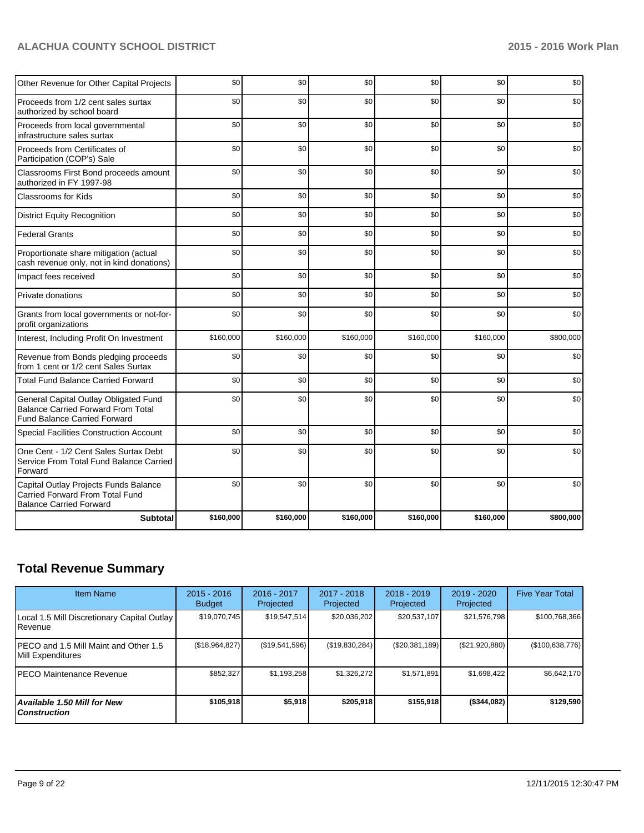| Subtotal                                                                                                                  | \$160,000 | \$160,000 | \$160,000 | \$160,000 | \$160,000 | \$800,000 |
|---------------------------------------------------------------------------------------------------------------------------|-----------|-----------|-----------|-----------|-----------|-----------|
| Capital Outlay Projects Funds Balance<br><b>Carried Forward From Total Fund</b><br><b>Balance Carried Forward</b>         | \$0       | \$0       | \$0       | \$0       | \$0       | \$0       |
| One Cent - 1/2 Cent Sales Surtax Debt<br>Service From Total Fund Balance Carried<br>Forward                               | \$0       | \$0       | \$0       | \$0       | \$0       | \$0       |
| Special Facilities Construction Account                                                                                   | \$0       | \$0       | \$0       | \$0       | \$0       | \$0       |
| General Capital Outlay Obligated Fund<br><b>Balance Carried Forward From Total</b><br><b>Fund Balance Carried Forward</b> | \$0       | \$0       | \$0       | \$0       | \$0       | \$0       |
| <b>Total Fund Balance Carried Forward</b>                                                                                 | \$0       | \$0       | \$0       | \$0       | \$0       | \$0       |
| Revenue from Bonds pledging proceeds<br>from 1 cent or 1/2 cent Sales Surtax                                              | \$0       | \$0       | \$0       | \$0       | \$0       | \$0       |
| Interest, Including Profit On Investment                                                                                  | \$160,000 | \$160,000 | \$160,000 | \$160,000 | \$160,000 | \$800,000 |
| Grants from local governments or not-for-<br>profit organizations                                                         | \$0       | \$0       | \$0       | \$0       | \$0       | \$0       |
| Private donations                                                                                                         | \$0       | \$0       | \$0       | \$0       | \$0       | \$0       |
| Impact fees received                                                                                                      | \$0       | \$0       | \$0       | \$0       | \$0       | \$0       |
| Proportionate share mitigation (actual<br>cash revenue only, not in kind donations)                                       | \$0       | \$0       | \$0       | \$0       | \$0       | \$0       |
| <b>Federal Grants</b>                                                                                                     | \$0       | \$0       | \$0       | \$0       | \$0       | \$0       |
| <b>District Equity Recognition</b>                                                                                        | \$0       | \$0       | \$0       | \$0       | \$0       | \$0       |
| Classrooms for Kids                                                                                                       | \$0       | \$0       | \$0       | \$0       | \$0       | \$0       |
| Classrooms First Bond proceeds amount<br>authorized in FY 1997-98                                                         | \$0       | \$0       | \$0       | \$0       | \$0       | \$0       |
| Proceeds from Certificates of<br>Participation (COP's) Sale                                                               | \$0       | \$0       | \$0       | \$0       | \$0       | \$0       |
| Proceeds from local governmental<br>infrastructure sales surtax                                                           | \$0       | \$0       | \$0       | \$0       | \$0       | \$0       |
| Proceeds from 1/2 cent sales surtax<br>authorized by school board                                                         | \$0       | \$0       | \$0       | \$0       | \$0       | \$0       |
| Other Revenue for Other Capital Projects                                                                                  | \$0       | \$0       | \$0       | \$0       | \$0       | \$0       |

# **Total Revenue Summary**

| <b>Item Name</b>                                                | $2015 - 2016$<br><b>Budget</b> | 2016 - 2017<br>Projected | $2017 - 2018$<br>Projected | $2018 - 2019$<br>Projected | 2019 - 2020<br>Projected | <b>Five Year Total</b> |
|-----------------------------------------------------------------|--------------------------------|--------------------------|----------------------------|----------------------------|--------------------------|------------------------|
| Local 1.5 Mill Discretionary Capital Outlay<br><b>I</b> Revenue | \$19,070,745                   | \$19,547,514             | \$20,036,202               | \$20,537,107               | \$21,576,798             | \$100,768,366          |
| IPECO and 1.5 Mill Maint and Other 1.5<br>Mill Expenditures     | (\$18,964,827)                 | (\$19,541,596)           | (\$19,830,284)             | (\$20,381,189)             | (\$21,920,880)           | (\$100,638,776)        |
| IPECO Maintenance Revenue                                       | \$852,327                      | \$1,193,258              | \$1,326,272                | \$1,571,891                | \$1,698,422              | \$6,642,170            |
| Available 1.50 Mill for New l<br>l Construction                 | \$105,918                      | \$5,918                  | \$205.918                  | \$155,918                  | ( \$344,082)             | \$129,590              |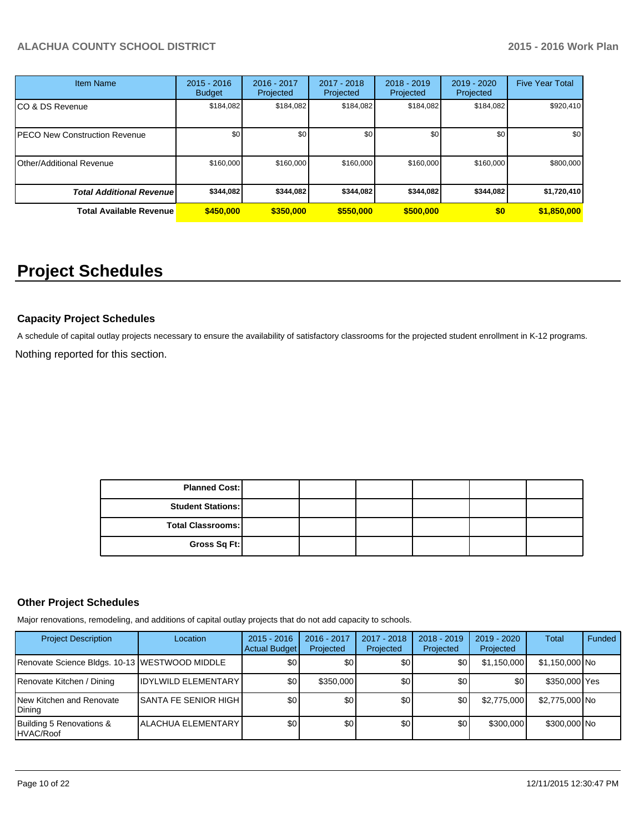| <b>Item Name</b>                 | $2015 - 2016$<br><b>Budget</b> | 2016 - 2017<br>Projected | 2017 - 2018<br>Projected | $2018 - 2019$<br>Projected | 2019 - 2020<br>Projected | <b>Five Year Total</b> |
|----------------------------------|--------------------------------|--------------------------|--------------------------|----------------------------|--------------------------|------------------------|
| CO & DS Revenue                  | \$184,082                      | \$184,082                | \$184.082                | \$184,082                  | \$184,082                | \$920,410              |
| PECO New Construction Revenue    | \$0                            | \$0                      | \$0                      | \$0                        | \$0                      | \$0 <sub>1</sub>       |
| Other/Additional Revenue         | \$160,000                      | \$160,000                | \$160,000                | \$160,000                  | \$160,000                | \$800,000              |
| <b>Total Additional Revenuel</b> | \$344,082                      | \$344,082                | \$344.082                | \$344,082                  | \$344,082                | \$1,720,410            |
| <b>Total Available Revenue</b>   | \$450,000                      | \$350,000                | \$550,000                | \$500,000                  | \$0                      | \$1,850,000            |

# **Project Schedules**

## **Capacity Project Schedules**

Nothing reported for this section. A schedule of capital outlay projects necessary to ensure the availability of satisfactory classrooms for the projected student enrollment in K-12 programs.

> **Total Classrooms: Gross Sq Ft: Planned Cost: Student Stations:**

## **Other Project Schedules**

Major renovations, remodeling, and additions of capital outlay projects that do not add capacity to schools.

| <b>Project Description</b>                    | Location                       | $2015 - 2016$<br>Actual Budget | 2016 - 2017<br>Projected | 2017 - 2018<br>Projected | $2018 - 2019$<br>Projected | 2019 - 2020<br>Projected | Total          | Funded |
|-----------------------------------------------|--------------------------------|--------------------------------|--------------------------|--------------------------|----------------------------|--------------------------|----------------|--------|
| Renovate Science Bldgs. 10-13 WESTWOOD MIDDLE |                                | \$0 <sub>1</sub>               | \$0                      | \$0                      | \$0                        | \$1,150,000              | \$1,150,000 No |        |
| Renovate Kitchen / Dining                     | <b>IDYLWILD ELEMENTARY</b>     | \$0                            | \$350,000                | \$0                      | \$0                        | \$0                      | \$350,000 Yes  |        |
| New Kitchen and Renovate<br>Dining            | <b>ISANTA FE SENIOR HIGH I</b> | \$0                            | \$0                      | \$0                      | \$0                        | \$2,775,000              | \$2,775,000 No |        |
| Building 5 Renovations &<br>HVAC/Roof         | <b>ALACHUA ELEMENTARY</b>      | \$0                            | \$0                      | \$0                      | \$0                        | \$300,000                | \$300,000 No   |        |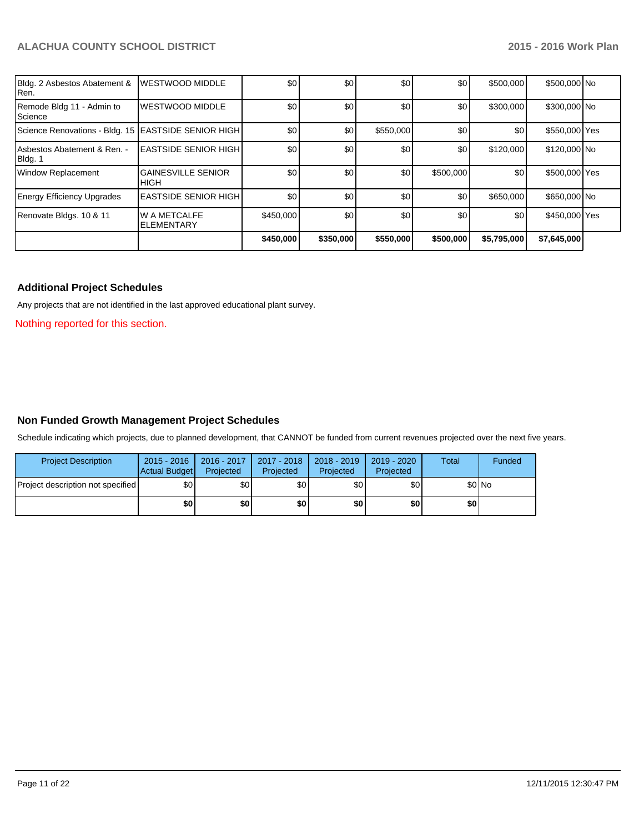| Bldg. 2 Asbestos Abatement &<br>Ren.                  | <b>WESTWOOD MIDDLE</b>                    | \$0       | \$0       | \$0       | \$0       | \$500,000   | \$500,000 No  |  |
|-------------------------------------------------------|-------------------------------------------|-----------|-----------|-----------|-----------|-------------|---------------|--|
| Remode Bldg 11 - Admin to<br>Science                  | <b>IWESTWOOD MIDDLE</b>                   | \$0       | \$0       | \$0       | \$0       | \$300,000   | \$300,000 No  |  |
| Science Renovations - Bldg. 15   EASTSIDE SENIOR HIGH |                                           | \$0       | \$0       | \$550,000 | \$0       | \$0         | \$550,000 Yes |  |
| Asbestos Abatement & Ren. -<br>Bldg. 1                | <b>IEASTSIDE SENIOR HIGH I</b>            | \$0       | \$0       | \$0       | \$0       | \$120,000   | \$120,000 No  |  |
| <b>Window Replacement</b>                             | <b>GAINESVILLE SENIOR</b><br><b>IHIGH</b> | \$0       | \$0       | \$0       | \$500,000 | \$0         | \$500,000 Yes |  |
| <b>Energy Efficiency Upgrades</b>                     | <b>IEASTSIDE SENIOR HIGH I</b>            | \$0       | \$0       | \$0       | \$0       | \$650,000   | \$650,000 No  |  |
| Renovate Bldgs. 10 & 11                               | <b>W A METCALFE</b><br><b>ELEMENTARY</b>  | \$450,000 | \$0       | \$0       | \$0       | \$0         | \$450,000 Yes |  |
|                                                       |                                           | \$450,000 | \$350,000 | \$550,000 | \$500,000 | \$5,795,000 | \$7,645,000   |  |

## **Additional Project Schedules**

Any projects that are not identified in the last approved educational plant survey.

Nothing reported for this section.

## **Non Funded Growth Management Project Schedules**

Schedule indicating which projects, due to planned development, that CANNOT be funded from current revenues projected over the next five years.

| <b>Project Description</b>        | $2015 - 2016$<br><b>Actual Budget</b> | $2016 - 2017$<br>Projected | 2017 - 2018<br>Projected | $2018 - 2019$<br>Projected | 2019 - 2020<br>Projected | <b>Total</b> | Funded |
|-----------------------------------|---------------------------------------|----------------------------|--------------------------|----------------------------|--------------------------|--------------|--------|
| Project description not specified | \$0                                   | \$0                        | \$0                      | \$٥Ι                       | \$0                      |              | \$0 No |
|                                   | \$0                                   | \$0 I                      | \$0                      | \$0 I                      | \$0                      | \$0 I        |        |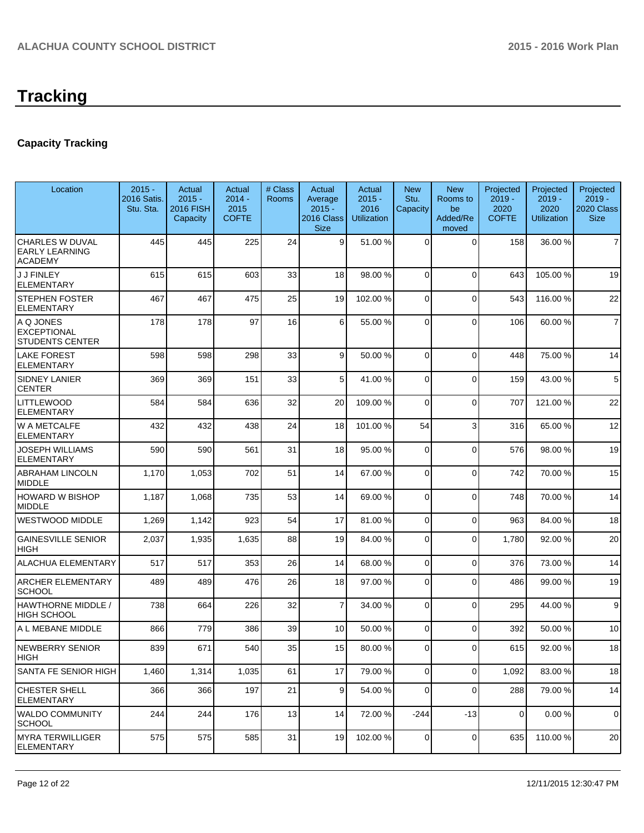# **Capacity Tracking**

| Location                                                          | $2015 -$<br>2016 Satis.<br>Stu. Sta. | Actual<br>$2015 -$<br><b>2016 FISH</b><br>Capacity | Actual<br>$2014 -$<br>2015<br><b>COFTE</b> | # Class<br>Rooms | Actual<br>Average<br>$2015 -$<br>2016 Class<br><b>Size</b> | Actual<br>$2015 -$<br>2016<br><b>Utilization</b> | <b>New</b><br>Stu.<br>Capacity | <b>New</b><br>Rooms to<br>be<br>Added/Re<br>moved | Projected<br>$2019 -$<br>2020<br><b>COFTE</b> | Projected<br>$2019 -$<br>2020<br><b>Utilization</b> | Projected<br>$2019 -$<br>2020 Class<br><b>Size</b> |
|-------------------------------------------------------------------|--------------------------------------|----------------------------------------------------|--------------------------------------------|------------------|------------------------------------------------------------|--------------------------------------------------|--------------------------------|---------------------------------------------------|-----------------------------------------------|-----------------------------------------------------|----------------------------------------------------|
| <b>CHARLES W DUVAL</b><br><b>EARLY LEARNING</b><br><b>ACADEMY</b> | 445                                  | 445                                                | 225                                        | 24               | $\vert$ 9                                                  | 51.00 %                                          | 0                              | $\Omega$                                          | 158                                           | 36.00 %                                             | $\overline{7}$                                     |
| <b>J J FINLEY</b><br><b>ELEMENTARY</b>                            | 615                                  | 615                                                | 603                                        | 33               | 18                                                         | 98.00 %                                          | 0                              | $\Omega$                                          | 643                                           | 105.00 %                                            | 19                                                 |
| <b>STEPHEN FOSTER</b><br><b>ELEMENTARY</b>                        | 467                                  | 467                                                | 475                                        | 25               | 19                                                         | 102.00 %                                         | 0                              | $\Omega$                                          | 543                                           | 116.00%                                             | 22                                                 |
| A Q JONES<br><b>EXCEPTIONAL</b><br><b>STUDENTS CENTER</b>         | 178                                  | 178                                                | 97                                         | 16               | 6                                                          | 55.00 %                                          | 0                              | $\Omega$                                          | 106                                           | 60.00 %                                             | $\overline{7}$                                     |
| <b>LAKE FOREST</b><br><b>ELEMENTARY</b>                           | 598                                  | 598                                                | 298                                        | 33               | 9                                                          | 50.00 %                                          | $\Omega$                       | $\Omega$                                          | 448                                           | 75.00 %                                             | 14                                                 |
| <b>SIDNEY LANIER</b><br><b>CENTER</b>                             | 369                                  | 369                                                | 151                                        | 33               | 5 <sup>1</sup>                                             | 41.00 %                                          | 0                              | $\Omega$                                          | 159                                           | 43.00 %                                             | 5                                                  |
| <b>LITTLEWOOD</b><br><b>ELEMENTARY</b>                            | 584                                  | 584                                                | 636                                        | 32               | 20                                                         | 109.00 %                                         | 0                              | $\Omega$                                          | 707                                           | 121.00%                                             | 22                                                 |
| W A METCALFE<br><b>ELEMENTARY</b>                                 | 432                                  | 432                                                | 438                                        | 24               | 18                                                         | 101.00%                                          | 54                             | 3                                                 | 316                                           | 65.00 %                                             | 12                                                 |
| <b>JOSEPH WILLIAMS</b><br><b>ELEMENTARY</b>                       | 590                                  | 590                                                | 561                                        | 31               | 18                                                         | 95.00 %                                          | 0                              | $\Omega$                                          | 576                                           | 98.00 %                                             | 19                                                 |
| <b>ABRAHAM LINCOLN</b><br><b>MIDDLE</b>                           | 1,170                                | 1,053                                              | 702                                        | 51               | 14                                                         | 67.00 %                                          | 0                              | $\Omega$                                          | 742                                           | 70.00%                                              | 15                                                 |
| <b>HOWARD W BISHOP</b><br><b>MIDDLE</b>                           | 1,187                                | 1,068                                              | 735                                        | 53               | 14                                                         | 69.00 %                                          | 0                              | $\Omega$                                          | 748                                           | 70.00%                                              | 14                                                 |
| <b>WESTWOOD MIDDLE</b>                                            | 1,269                                | 1,142                                              | 923                                        | 54               | 17                                                         | 81.00 %                                          | 0                              | $\Omega$                                          | 963                                           | 84.00%                                              | 18                                                 |
| <b>GAINESVILLE SENIOR</b><br><b>HIGH</b>                          | 2,037                                | 1,935                                              | 1,635                                      | 88               | 19                                                         | 84.00 %                                          | $\Omega$                       | $\Omega$                                          | 1,780                                         | 92.00 %                                             | 20                                                 |
| <b>ALACHUA ELEMENTARY</b>                                         | 517                                  | 517                                                | 353                                        | 26               | 14                                                         | 68.00 %                                          | $\overline{0}$                 | $\Omega$                                          | 376                                           | 73.00 %                                             | 14                                                 |
| <b>ARCHER ELEMENTARY</b><br><b>SCHOOL</b>                         | 489                                  | 489                                                | 476                                        | 26               | 18                                                         | 97.00 %                                          | 0                              | $\Omega$                                          | 486                                           | 99.00 %                                             | 19                                                 |
| HAWTHORNE MIDDLE /<br><b>HIGH SCHOOL</b>                          | 738                                  | 664                                                | 226                                        | 32               | $\overline{7}$                                             | 34.00 %                                          | $\Omega$                       | $\Omega$                                          | 295                                           | 44.00 %                                             | 9                                                  |
| A L MEBANE MIDDLE                                                 | 866                                  | 779                                                | 386                                        | 39               | 10                                                         | 50.00 %                                          | $\Omega$                       | $\Omega$                                          | 392                                           | 50.00 %                                             | 10                                                 |
| <b>NEWBERRY SENIOR</b><br><b>HIGH</b>                             | 839                                  | 671                                                | 540                                        | 35               | 15                                                         | 80.00 %                                          | οI                             | $\Omega$                                          | 615                                           | 92.00%                                              | 18                                                 |
| SANTA FE SENIOR HIGH                                              | 1,460                                | 1,314                                              | 1,035                                      | 61               | 17                                                         | 79.00 %                                          | $\overline{0}$                 | $\Omega$                                          | 1,092                                         | 83.00 %                                             | 18                                                 |
| <b>CHESTER SHELL</b><br><b>ELEMENTARY</b>                         | 366                                  | 366                                                | 197                                        | 21               | $\vert 9 \vert$                                            | 54.00 %                                          | $\Omega$                       | $\Omega$                                          | 288                                           | 79.00 %                                             | 14                                                 |
| <b>WALDO COMMUNITY</b><br><b>SCHOOL</b>                           | 244                                  | 244                                                | 176                                        | 13               | 14                                                         | 72.00 %                                          | $-244$                         | $-13$                                             | 0                                             | 0.00%                                               | 0                                                  |
| <b>MYRA TERWILLIGER</b><br><b>ELEMENTARY</b>                      | 575                                  | 575                                                | 585                                        | 31               | 19                                                         | 102.00%                                          | 0                              | 0                                                 | 635                                           | 110.00%                                             | 20                                                 |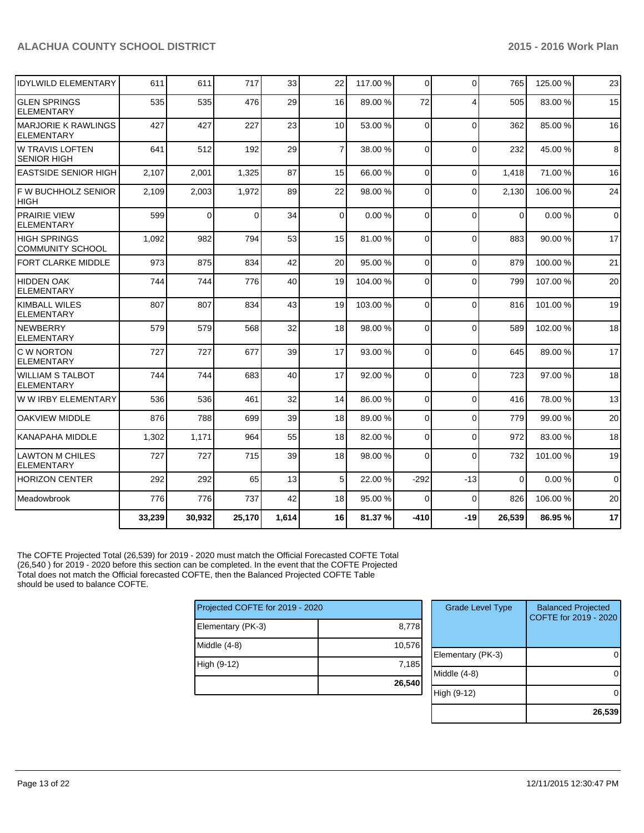| IIDYLWILD ELEMENTARY                           | 611    | 611      | 717      | 33    | 22              | 117.00 % | $\Omega$ | $\mathbf{0}$   | 765         | 125.00 % | 23             |
|------------------------------------------------|--------|----------|----------|-------|-----------------|----------|----------|----------------|-------------|----------|----------------|
| IGLEN SPRINGS<br><b>ELEMENTARY</b>             | 535    | 535      | 476      | 29    | 16              | 89.00 %  | 72       | $\overline{4}$ | 505         | 83.00 %  | 15             |
| IMARJORIE K RAWLINGS<br><b>ELEMENTARY</b>      | 427    | 427      | 227      | 23    | 10 <sup>1</sup> | 53.00 %  | $\Omega$ | $\Omega$       | 362         | 85.00 %  | 16             |
| W TRAVIS LOFTEN<br><b>SENIOR HIGH</b>          | 641    | 512      | 192      | 29    | $\overline{7}$  | 38.00 %  | $\Omega$ | $\mathbf{0}$   | 232         | 45.00 %  | $\bf8$         |
| <b>EASTSIDE SENIOR HIGH</b>                    | 2,107  | 2,001    | 1,325    | 87    | 15              | 66.00 %  | $\Omega$ | $\Omega$       | 1.418       | 71.00 %  | 16             |
| F W BUCHHOLZ SENIOR<br><b>HIGH</b>             | 2,109  | 2,003    | 1,972    | 89    | 22              | 98.00 %  | $\Omega$ | $\Omega$       | 2,130       | 106.00%  | 24             |
| <b>PRAIRIE VIEW</b><br><b>ELEMENTARY</b>       | 599    | $\Omega$ | $\Omega$ | 34    | $\Omega$        | 0.00%    | $\Omega$ | $\Omega$       | $\Omega$    | 0.00%    | $\overline{0}$ |
| <b>HIGH SPRINGS</b><br><b>COMMUNITY SCHOOL</b> | 1,092  | 982      | 794      | 53    | 15              | 81.00%   | $\Omega$ | $\Omega$       | 883         | 90.00 %  | 17             |
| <b>FORT CLARKE MIDDLE</b>                      | 973    | 875      | 834      | 42    | 20              | 95.00 %  | $\Omega$ | $\mathbf 0$    | 879         | 100.00%  | 21             |
| <b>HIDDEN OAK</b><br>IELEMENTARY               | 744    | 744      | 776      | 40    | 19              | 104.00%  | $\Omega$ | $\Omega$       | 799         | 107.00%  | 20             |
| <b>KIMBALL WILES</b><br>ELEMENTARY             | 807    | 807      | 834      | 43    | 19              | 103.00 % | $\Omega$ | $\mathbf{0}$   | 816         | 101.00%  | 19             |
| <b>NEWBERRY</b><br>ELEMENTARY                  | 579    | 579      | 568      | 32    | 18              | 98.00 %  | $\Omega$ | $\Omega$       | 589         | 102.00%  | 18             |
| C W NORTON<br><b>IELEMENTARY</b>               | 727    | 727      | 677      | 39    | 17              | 93.00 %  | $\Omega$ | $\Omega$       | 645         | 89.00 %  | 17             |
| <b>WILLIAM S TALBOT</b><br><b>ELEMENTARY</b>   | 744    | 744      | 683      | 40    | 17              | 92.00 %  | $\Omega$ | $\Omega$       | 723         | 97.00 %  | 18             |
| IW W IRBY ELEMENTARY                           | 536    | 536      | 461      | 32    | 14              | 86.00 %  | $\Omega$ | $\mathbf{0}$   | 416         | 78.00%   | 13             |
| lOAKVIEW MIDDLE                                | 876    | 788      | 699      | 39    | 18              | 89.00 %  | $\Omega$ | $\Omega$       | 779         | 99.00 %  | 20             |
| KANAPAHA MIDDLE                                | 1,302  | 1,171    | 964      | 55    | 18              | 82.00 %  | $\Omega$ | $\Omega$       | 972         | 83.00 %  | 18             |
| ILAWTON M CHILES<br><b>ELEMENTARY</b>          | 727    | 727      | 715      | 39    | 18              | 98.00 %  | $\Omega$ | $\Omega$       | 732         | 101.00%  | 19             |
| HORIZON CENTER                                 | 292    | 292      | 65       | 13    | 5 <sub>l</sub>  | 22.00 %  | $-292$   | $-13$          | $\mathbf 0$ | 0.00%    | $\mathbf{0}$   |
| Meadowbrook                                    | 776    | 776      | 737      | 42    | 18              | 95.00 %  | $\Omega$ | $\mathbf 0$    | 826         | 106.00%  | 20             |
|                                                | 33,239 | 30,932   | 25,170   | 1.614 | 16              | 81.37 %  | $-410$   | $-19$          | 26,539      | 86.95%   | 17             |

The COFTE Projected Total (26,539) for 2019 - 2020 must match the Official Forecasted COFTE Total (26,540 ) for 2019 - 2020 before this section can be completed. In the event that the COFTE Projected Total does not match the Official forecasted COFTE, then the Balanced Projected COFTE Table should be used to balance COFTE.

| Projected COFTE for 2019 - 2020 |        |  |  |  |  |
|---------------------------------|--------|--|--|--|--|
| 8,778<br>Elementary (PK-3)      |        |  |  |  |  |
| Middle (4-8)                    | 10,576 |  |  |  |  |
| High (9-12)                     | 7,185  |  |  |  |  |
|                                 | 26,540 |  |  |  |  |

| <b>Grade Level Type</b> | <b>Balanced Projected</b><br>COFTE for 2019 - 2020 |
|-------------------------|----------------------------------------------------|
| Elementary (PK-3)       |                                                    |
| Middle $(4-8)$          |                                                    |
| High (9-12)             |                                                    |
|                         | 26,539                                             |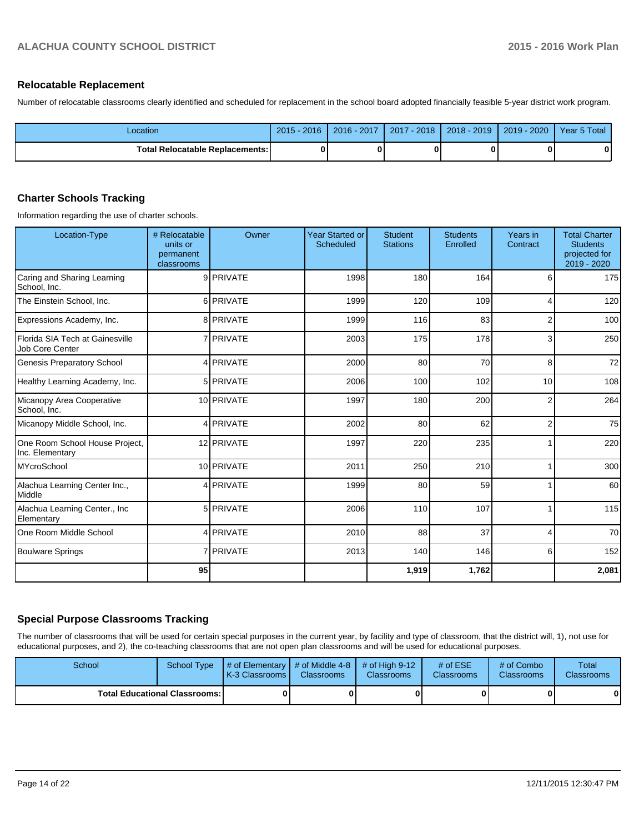### **Relocatable Replacement**

Number of relocatable classrooms clearly identified and scheduled for replacement in the school board adopted financially feasible 5-year district work program.

| Location                        | $2015 - 2016$ | 2016 - 2017 | 2017 - 2018 | $2018 - 2019$ | 2019 - 2020 | Year 5 Total |
|---------------------------------|---------------|-------------|-------------|---------------|-------------|--------------|
| Total Relocatable Replacements: |               |             |             |               |             |              |

## **Charter Schools Tracking**

Information regarding the use of charter schools.

| Location-Type                                      | # Relocatable<br>units or<br>permanent<br>classrooms | Owner            | <b>Year Started or</b><br>Scheduled | <b>Student</b><br><b>Stations</b> | <b>Students</b><br>Enrolled | Years in<br>Contract | <b>Total Charter</b><br><b>Students</b><br>projected for<br>2019 - 2020 |
|----------------------------------------------------|------------------------------------------------------|------------------|-------------------------------------|-----------------------------------|-----------------------------|----------------------|-------------------------------------------------------------------------|
| Caring and Sharing Learning<br>School, Inc.        |                                                      | 9 PRIVATE        | 1998                                | 180                               | 164                         | 6                    | 175                                                                     |
| The Einstein School, Inc.                          |                                                      | 6 PRIVATE        | 1999                                | 120                               | 109                         | 4                    | 120                                                                     |
| Expressions Academy, Inc.                          |                                                      | 8 PRIVATE        | 1999                                | 116                               | 83                          | $\overline{2}$       | 100                                                                     |
| Florida SIA Tech at Gainesville<br>Job Core Center |                                                      | 7 <b>PRIVATE</b> | 2003                                | 175                               | 178                         | 3                    | 250                                                                     |
| Genesis Preparatory School                         |                                                      | 4 PRIVATE        | 2000                                | 80                                | 70                          | 8                    | 72                                                                      |
| Healthy Learning Academy, Inc.                     |                                                      | 5 PRIVATE        | 2006                                | 100                               | 102                         | 10                   | 108                                                                     |
| Micanopy Area Cooperative<br>School. Inc.          |                                                      | 10 PRIVATE       | 1997                                | 180                               | 200                         | $\overline{2}$       | 264                                                                     |
| Micanopy Middle School, Inc.                       |                                                      | 4 PRIVATE        | 2002                                | 80                                | 62                          | $\overline{2}$       | 75                                                                      |
| One Room School House Project,<br>Inc. Elementary  |                                                      | 12 PRIVATE       | 1997                                | 220                               | 235                         |                      | 220                                                                     |
| MYcroSchool                                        |                                                      | 10 PRIVATE       | 2011                                | 250                               | 210                         |                      | 300                                                                     |
| Alachua Learning Center Inc.,<br>Middle            |                                                      | 4 PRIVATE        | 1999                                | 80                                | 59                          |                      | 60                                                                      |
| Alachua Learning Center., Inc<br>Elementary        |                                                      | 5 PRIVATE        | 2006                                | 110                               | 107                         |                      | 115                                                                     |
| One Room Middle School                             |                                                      | 4 PRIVATE        | 2010                                | 88                                | 37                          | 4                    | 70                                                                      |
| Boulware Springs                                   |                                                      | 7 PRIVATE        | 2013                                | 140                               | 146                         | 6                    | 152                                                                     |
|                                                    | 95                                                   |                  |                                     | 1,919                             | 1,762                       |                      | 2,081                                                                   |

## **Special Purpose Classrooms Tracking**

The number of classrooms that will be used for certain special purposes in the current year, by facility and type of classroom, that the district will, 1), not use for educational purposes, and 2), the co-teaching classrooms that are not open plan classrooms and will be used for educational purposes.

| School                                 | School Type | $\parallel$ # of Elementary $\parallel$ # of Middle 4-8 $\parallel$ # of High 9-12<br>K-3 Classrooms I | <b>Classrooms</b> | <b>Classrooms</b> | # of $ESE$<br>Classrooms | # of Combo<br><b>Classrooms</b> | <b>Total</b><br><b>Classrooms</b> |  |
|----------------------------------------|-------------|--------------------------------------------------------------------------------------------------------|-------------------|-------------------|--------------------------|---------------------------------|-----------------------------------|--|
| <b>Total Educational Classrooms: I</b> |             |                                                                                                        |                   |                   |                          | 01                              | 0                                 |  |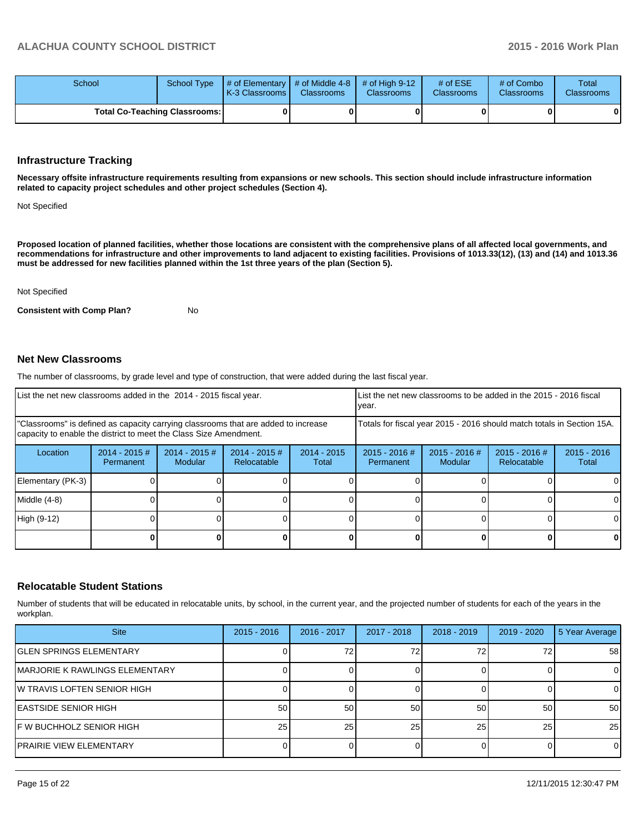| School                        |  | School Type $\parallel \#$ of Elementary $\parallel \#$ of Middle 4-8 $\parallel \#$ of High 9-12<br><b>K-3 Classrooms L</b> | <b>Classrooms</b> | <b>Classrooms</b> | # of $ESE$<br><b>Classrooms</b> | # of Combo<br><b>Classrooms</b> | Total<br><b>Classrooms</b> |
|-------------------------------|--|------------------------------------------------------------------------------------------------------------------------------|-------------------|-------------------|---------------------------------|---------------------------------|----------------------------|
| Total Co-Teaching Classrooms: |  |                                                                                                                              |                   |                   |                                 | 0                               | 0                          |

#### **Infrastructure Tracking**

**Necessary offsite infrastructure requirements resulting from expansions or new schools. This section should include infrastructure information related to capacity project schedules and other project schedules (Section 4).**

Not Specified

**Proposed location of planned facilities, whether those locations are consistent with the comprehensive plans of all affected local governments, and recommendations for infrastructure and other improvements to land adjacent to existing facilities. Provisions of 1013.33(12), (13) and (14) and 1013.36 must be addressed for new facilities planned within the 1st three years of the plan (Section 5).**

Not Specified

**Consistent with Comp Plan?** No

#### **Net New Classrooms**

The number of classrooms, by grade level and type of construction, that were added during the last fiscal year.

| List the net new classrooms added in the 2014 - 2015 fiscal year.                                                                                       |                               |                            |                                 |                        | List the net new classrooms to be added in the 2015 - 2016 fiscal<br>Ivear. |                            |                                |                        |
|---------------------------------------------------------------------------------------------------------------------------------------------------------|-------------------------------|----------------------------|---------------------------------|------------------------|-----------------------------------------------------------------------------|----------------------------|--------------------------------|------------------------|
| "Classrooms" is defined as capacity carrying classrooms that are added to increase<br>capacity to enable the district to meet the Class Size Amendment. |                               |                            |                                 |                        | Totals for fiscal year 2015 - 2016 should match totals in Section 15A.      |                            |                                |                        |
| Location                                                                                                                                                | $2014 - 2015 \#$<br>Permanent | $2014 - 2015$ #<br>Modular | $2014 - 2015 \#$<br>Relocatable | $2014 - 2015$<br>Total | $2015 - 2016$ #<br>Permanent                                                | $2015 - 2016$ #<br>Modular | $2015 - 2016$ #<br>Relocatable | $2015 - 2016$<br>Total |
| Elementary (PK-3)                                                                                                                                       |                               |                            |                                 |                        |                                                                             |                            |                                |                        |
| Middle (4-8)                                                                                                                                            |                               |                            |                                 |                        |                                                                             |                            |                                |                        |
| High (9-12)                                                                                                                                             |                               |                            |                                 |                        |                                                                             |                            |                                |                        |
|                                                                                                                                                         |                               |                            |                                 |                        |                                                                             |                            |                                | 0                      |

### **Relocatable Student Stations**

Number of students that will be educated in relocatable units, by school, in the current year, and the projected number of students for each of the years in the workplan.

| <b>Site</b>                     | $2015 - 2016$   | 2016 - 2017 | 2017 - 2018 | $2018 - 2019$ | 2019 - 2020 | 5 Year Average |
|---------------------------------|-----------------|-------------|-------------|---------------|-------------|----------------|
| IGLEN SPRINGS ELEMENTARY        |                 |             | 72          |               |             | 58             |
| IMARJORIE K RAWLINGS ELEMENTARY |                 |             |             |               |             | 0              |
| IW TRAVIS LOFTEN SENIOR HIGH    |                 |             |             |               |             | $\Omega$       |
| EASTSIDE SENIOR HIGH            | 50              | 50          | 50          | 50            | 50          | 50             |
| IF W BUCHHOLZ SENIOR HIGH       | 25 <sub>1</sub> | 25          | 25          | 25            | 25          | 25             |
| PRAIRIE VIEW ELEMENTARY         |                 |             |             |               |             | $\Omega$       |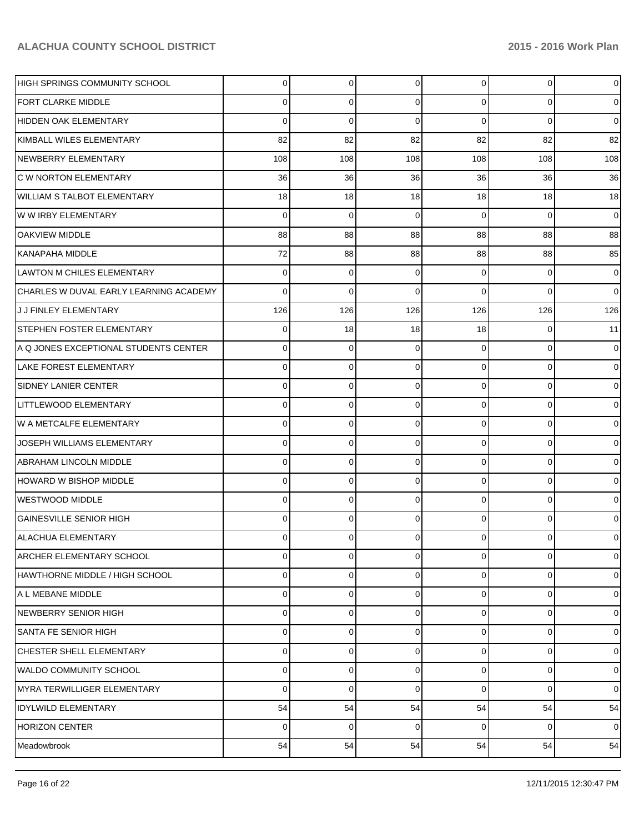| IHIGH SPRINGS COMMUNITY SCHOOL         | $\Omega$ | 0           | 0        | $\Omega$       | 0           | $\overline{0}$ |
|----------------------------------------|----------|-------------|----------|----------------|-------------|----------------|
| FORT CLARKE MIDDLE                     | 0        | 0           | 0        | $\Omega$       | 0           | $\overline{0}$ |
| HIDDEN OAK ELEMENTARY                  | 0        | $\mathbf 0$ | $\Omega$ | $\Omega$       | $\mathbf 0$ | $\overline{0}$ |
| KIMBALL WILES ELEMENTARY               | 82       | 82          | 82       | 82             | 82          | 82             |
| NEWBERRY ELEMENTARY                    | 108      | 108         | 108      | 108            | 108         | 108            |
| <b>C W NORTON ELEMENTARY</b>           | 36       | 36          | 36       | 36             | 36          | 36             |
| <b>WILLIAM S TALBOT ELEMENTARY</b>     | 18       | 18          | 18       | 18             | 18          | 18             |
| W W IRBY ELEMENTARY                    | 0        | 0           | 0        | $\Omega$       | 0           | $\overline{0}$ |
| <b>OAKVIEW MIDDLE</b>                  | 88       | 88          | 88       | 88             | 88          | 88             |
| <b>KANAPAHA MIDDLE</b>                 | 72       | 88          | 88       | 88             | 88          | 85             |
| <b>LAWTON M CHILES ELEMENTARY</b>      | 0        | 0           | 0        | $\Omega$       | 0           | $\overline{0}$ |
| CHARLES W DUVAL EARLY LEARNING ACADEMY | 0        | $\mathbf 0$ | 0        | $\Omega$       | 0           | $\overline{0}$ |
| J J FINLEY ELEMENTARY                  | 126      | 126         | 126      | 126            | 126         | 126            |
| <b>STEPHEN FOSTER ELEMENTARY</b>       | 0        | 18          | 18       | 18             | 0           | 11             |
| A Q JONES EXCEPTIONAL STUDENTS CENTER  | 0        | 0           | 0        | $\Omega$       | 0           | $\overline{0}$ |
| <b>LAKE FOREST ELEMENTARY</b>          | 0        | 0           | 0        | $\Omega$       | 0           | $\overline{0}$ |
| <b>SIDNEY LANIER CENTER</b>            | 0        | 0           | 0        | $\Omega$       | 0           | $\overline{0}$ |
| LITTLEWOOD ELEMENTARY                  | 0        | 0           | 0        | $\Omega$       | 0           | $\overline{0}$ |
| W A METCALFE ELEMENTARY                | 0        | 0           | 0        | $\Omega$       | 0           | $\overline{0}$ |
| JOSEPH WILLIAMS ELEMENTARY             | 0        | 0           | 0        | $\Omega$       | 0           | $\overline{0}$ |
| ABRAHAM LINCOLN MIDDLE                 | 0        | 0           | 0        | $\Omega$       | $\mathbf 0$ | $\overline{0}$ |
| HOWARD W BISHOP MIDDLE                 | 0        | 0           | 0        | $\Omega$       | 0           | $\overline{0}$ |
| <b>WESTWOOD MIDDLE</b>                 | 0        | 0           | 0        | $\Omega$       | 0           | $\overline{0}$ |
| <b>GAINESVILLE SENIOR HIGH</b>         | 0        | 0           | 0        | $\Omega$       | 0           | 0              |
| <b>ALACHUA ELEMENTARY</b>              | 0        | 0           |          | U              | 0           | 0              |
| <b>ARCHER ELEMENTARY SCHOOL</b>        | $\Omega$ | 0           | 0        | $\overline{0}$ | 0           | $\overline{0}$ |
| HAWTHORNE MIDDLE / HIGH SCHOOL         | 0        | 0           | 0        | 0              | 0           | $\overline{0}$ |
| A L MEBANE MIDDLE                      | 0        | 0           | 0        | $\Omega$       | 0           | $\overline{0}$ |
| NEWBERRY SENIOR HIGH                   | 0        | 0           | 0        | $\Omega$       | 0           | $\overline{0}$ |
| <b>SANTA FE SENIOR HIGH</b>            | 0        | 0           | 0        | $\Omega$       | 0           | $\overline{0}$ |
| <b>CHESTER SHELL ELEMENTARY</b>        | 0        | 0           | 0        | $\Omega$       | $\mathbf 0$ | $\overline{0}$ |
| <b>WALDO COMMUNITY SCHOOL</b>          | 0        | 0           | 0        | $\Omega$       | 0           | $\overline{0}$ |
| MYRA TERWILLIGER ELEMENTARY            | 0        | 0           | 0        | $\Omega$       | 0           | $\overline{0}$ |
| <b>IDYLWILD ELEMENTARY</b>             | 54       | 54          | 54       | 54             | 54          | 54             |
| <b>HORIZON CENTER</b>                  | 0        | 0           | 0        | $\overline{0}$ | 0           | $\overline{0}$ |
| Meadowbrook                            | 54       | 54          | 54       | 54             | 54          | 54             |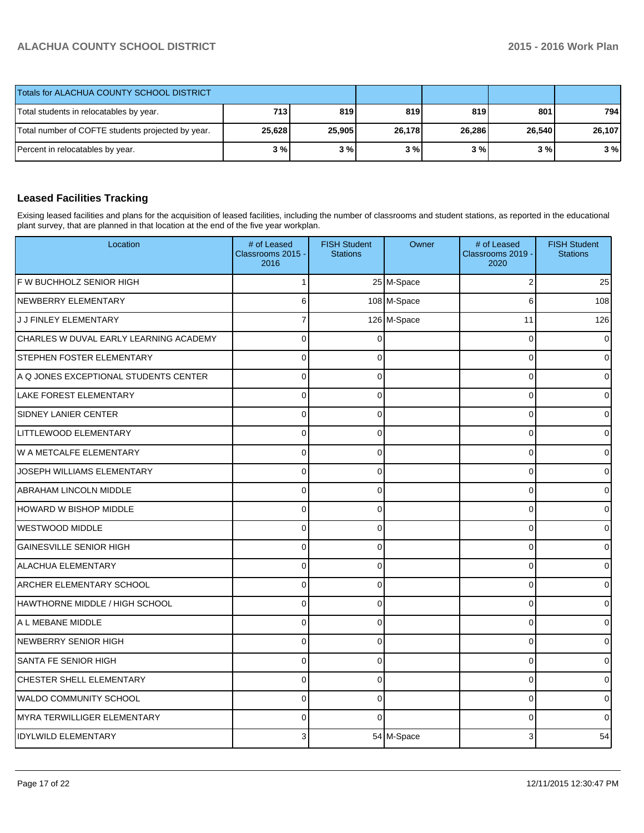| Totals for ALACHUA COUNTY SCHOOL DISTRICT         |        |        |        |        |        |        |
|---------------------------------------------------|--------|--------|--------|--------|--------|--------|
| Total students in relocatables by year.           | 713    | 819    | 819    | 819    | 801    | 794    |
| Total number of COFTE students projected by year. | 25,628 | 25,905 | 26,178 | 26,286 | 26.540 | 26,107 |
| Percent in relocatables by year.                  | 3 % I  | 3%     | 3%     | 3%     | 3 % I  | 3%     |

## **Leased Facilities Tracking**

Exising leased facilities and plans for the acquisition of leased facilities, including the number of classrooms and student stations, as reported in the educational plant survey, that are planned in that location at the end of the five year workplan.

| Location                               | # of Leased<br>Classrooms 2015 -<br>2016 | <b>FISH Student</b><br><b>Stations</b> | Owner       | # of Leased<br>Classrooms 2019 -<br>2020 | <b>FISH Student</b><br><b>Stations</b> |
|----------------------------------------|------------------------------------------|----------------------------------------|-------------|------------------------------------------|----------------------------------------|
| F W BUCHHOLZ SENIOR HIGH               | 1                                        |                                        | 25 M-Space  | $\overline{2}$                           | 25                                     |
| NEWBERRY ELEMENTARY                    | 6                                        |                                        | 108 M-Space | 6                                        | 108                                    |
| J J FINLEY ELEMENTARY                  |                                          |                                        | 126 M-Space | 11                                       | 126                                    |
| CHARLES W DUVAL EARLY LEARNING ACADEMY | $\mathbf 0$                              | $\Omega$                               |             | $\mathbf 0$                              | 0                                      |
| <b>STEPHEN FOSTER ELEMENTARY</b>       | $\Omega$                                 | $\mathbf{0}$                           |             | $\Omega$                                 | 0                                      |
| A Q JONES EXCEPTIONAL STUDENTS CENTER  | $\Omega$                                 | $\Omega$                               |             | $\Omega$                                 | $\Omega$                               |
| LAKE FOREST ELEMENTARY                 | $\overline{0}$                           | $\overline{0}$                         |             | 0                                        | 0                                      |
| SIDNEY LANIER CENTER                   | $\mathbf 0$                              | 0                                      |             | 0                                        | 0                                      |
| LITTLEWOOD ELEMENTARY                  | $\Omega$                                 | 0                                      |             | $\Omega$                                 | 0                                      |
| W A METCALFE ELEMENTARY                | $\mathbf 0$                              | 0                                      |             | 0                                        | 0                                      |
| JOSEPH WILLIAMS ELEMENTARY             | $\mathbf 0$                              | 0                                      |             | 0                                        | 0                                      |
| ABRAHAM LINCOLN MIDDLE                 | $\Omega$                                 | $\mathbf{0}$                           |             | $\Omega$                                 | 0                                      |
| <b>HOWARD W BISHOP MIDDLE</b>          | $\Omega$                                 | $\Omega$                               |             | 0                                        | 0                                      |
| <b>WESTWOOD MIDDLE</b>                 | $\Omega$                                 | 0                                      |             | $\Omega$                                 | 0                                      |
| <b>GAINESVILLE SENIOR HIGH</b>         | $\mathbf 0$                              | $\Omega$                               |             | 0                                        | 0                                      |
| <b>ALACHUA ELEMENTARY</b>              | $\Omega$                                 | $\mathbf{0}$                           |             | $\Omega$                                 | 0                                      |
| ARCHER ELEMENTARY SCHOOL               | $\Omega$                                 | $\Omega$                               |             | 0                                        | 0                                      |
| HAWTHORNE MIDDLE / HIGH SCHOOL         | $\mathbf 0$                              | $\mathbf 0$                            |             | $\Omega$                                 | 0                                      |
| A L MEBANE MIDDLE                      | $\mathbf 0$                              | $\Omega$                               |             | 0                                        | 0                                      |
| NEWBERRY SENIOR HIGH                   | $\mathbf 0$                              | $\Omega$                               |             | $\Omega$                                 | 0                                      |
| SANTA FE SENIOR HIGH                   | $\overline{0}$                           | $\Omega$                               |             | $\overline{0}$                           | 0                                      |
| CHESTER SHELL ELEMENTARY               | $\mathbf 0$                              | 0                                      |             | $\Omega$                                 | 0                                      |
| <b>WALDO COMMUNITY SCHOOL</b>          | $\Omega$                                 | $\Omega$                               |             | $\Omega$                                 | 0                                      |
| MYRA TERWILLIGER ELEMENTARY            | $\Omega$                                 | $\Omega$                               |             | $\Omega$                                 | 0                                      |
| <b>IDYLWILD ELEMENTARY</b>             | 3                                        |                                        | 54 M-Space  | 3                                        | 54                                     |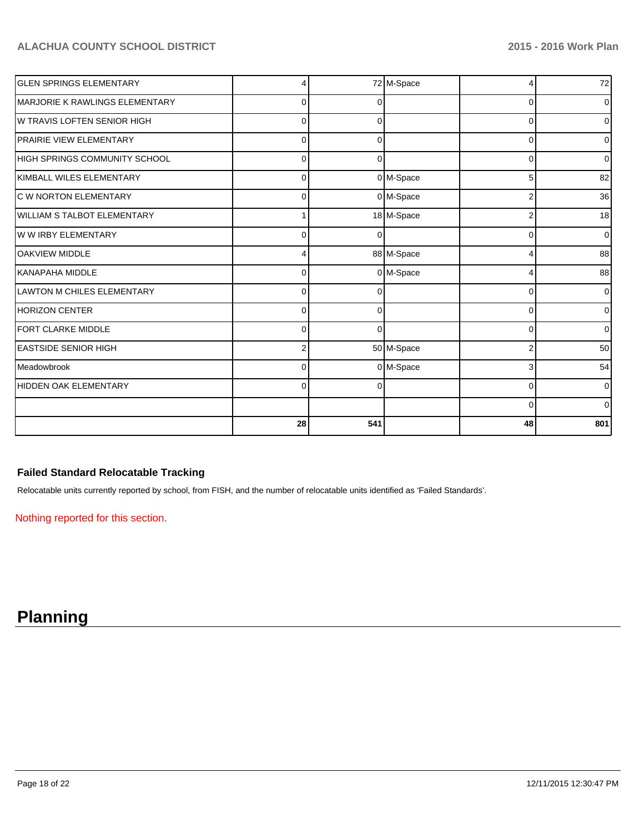| <b>GLEN SPRINGS ELEMENTARY</b>     |          |          | 72 M-Space  |          | 72             |
|------------------------------------|----------|----------|-------------|----------|----------------|
| MARJORIE K RAWLINGS ELEMENTARY     | $\Omega$ |          |             | $\Omega$ | $\overline{0}$ |
| W TRAVIS LOFTEN SENIOR HIGH        | 0        |          |             | $\Omega$ | $\overline{0}$ |
| <b>PRAIRIE VIEW ELEMENTARY</b>     | 0        |          |             | 0        | $\overline{0}$ |
| HIGH SPRINGS COMMUNITY SCHOOL      | $\Omega$ |          |             | 0        | $\overline{0}$ |
| KIMBALL WILES ELEMENTARY           | $\Omega$ |          | 0 M-Space   | 5        | 82             |
| C W NORTON ELEMENTARY              | $\Omega$ |          | 0 M-Space   | 2        | 36             |
| <b>WILLIAM S TALBOT ELEMENTARY</b> |          |          | 18 M-Space  | 2        | 18             |
| W W IRBY ELEMENTARY                | $\Omega$ |          |             | $\Omega$ | $\overline{0}$ |
| <b>OAKVIEW MIDDLE</b>              |          |          | 88 M-Space  |          | 88             |
| İKANAPAHA MIDDLE                   | U        |          | 0 M-Space   |          | 88             |
| <b>LAWTON M CHILES ELEMENTARY</b>  | $\Omega$ |          |             | $\Omega$ | $\overline{0}$ |
| <b>HORIZON CENTER</b>              | $\Omega$ | $\Omega$ |             | $\Omega$ | $\overline{0}$ |
| FORT CLARKE MIDDLE                 | $\Omega$ | $\Omega$ |             | 0        | $\overline{0}$ |
| <b>EASTSIDE SENIOR HIGH</b>        | 2        |          | 50 M-Space  | 2        | 50             |
| <b>I</b> Meadowbrook               | $\Omega$ |          | $0$ M-Space | 3        | 54             |
| HIDDEN OAK ELEMENTARY              | $\Omega$ |          |             | 0        | $\overline{0}$ |
|                                    |          |          |             | 0        | $\overline{0}$ |
|                                    | 28       | 541      |             | 48       | 801            |

## **Failed Standard Relocatable Tracking**

Relocatable units currently reported by school, from FISH, and the number of relocatable units identified as 'Failed Standards'.

Nothing reported for this section.

# **Planning**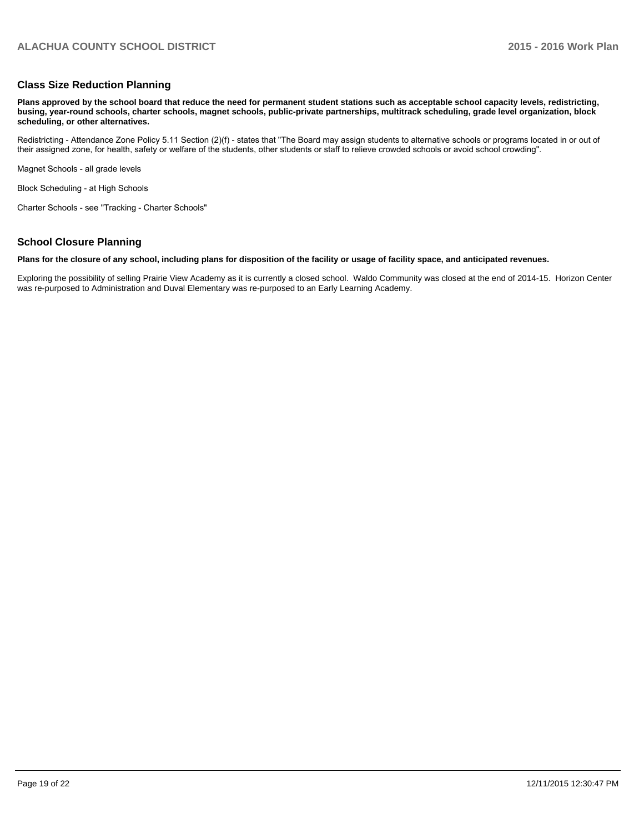#### **Class Size Reduction Planning**

**Plans approved by the school board that reduce the need for permanent student stations such as acceptable school capacity levels, redistricting, busing, year-round schools, charter schools, magnet schools, public-private partnerships, multitrack scheduling, grade level organization, block scheduling, or other alternatives.**

Redistricting - Attendance Zone Policy 5.11 Section (2)(f) - states that "The Board may assign students to alternative schools or programs located in or out of their assigned zone, for health, safety or welfare of the students, other students or staff to relieve crowded schools or avoid school crowding".

Magnet Schools - all grade levels

Block Scheduling - at High Schools

Charter Schools - see "Tracking - Charter Schools"

### **School Closure Planning**

#### **Plans for the closure of any school, including plans for disposition of the facility or usage of facility space, and anticipated revenues.**

Exploring the possibility of selling Prairie View Academy as it is currently a closed school. Waldo Community was closed at the end of 2014-15. Horizon Center was re-purposed to Administration and Duval Elementary was re-purposed to an Early Learning Academy.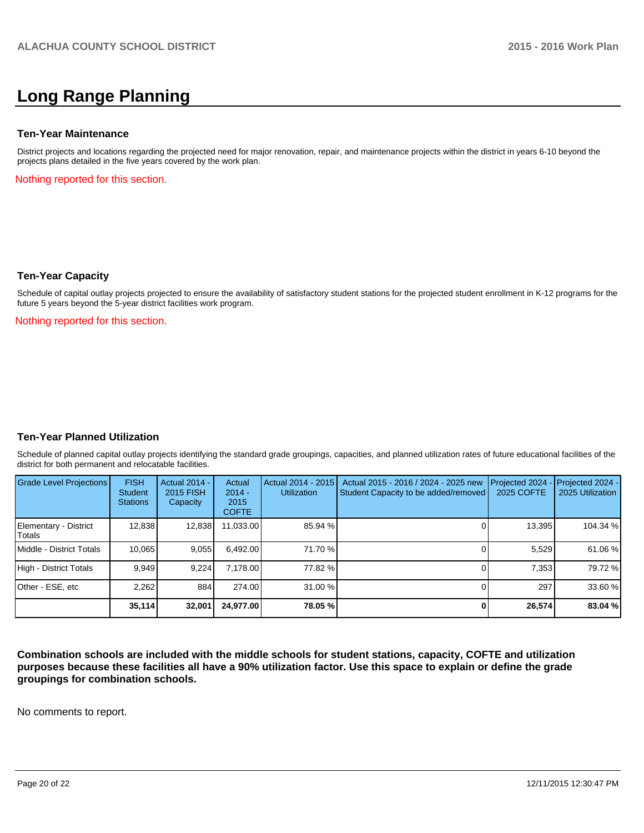# **Long Range Planning**

#### **Ten-Year Maintenance**

District projects and locations regarding the projected need for major renovation, repair, and maintenance projects within the district in years 6-10 beyond the projects plans detailed in the five years covered by the work plan.

Nothing reported for this section.

#### **Ten-Year Capacity**

Schedule of capital outlay projects projected to ensure the availability of satisfactory student stations for the projected student enrollment in K-12 programs for the future 5 years beyond the 5-year district facilities work program.

Nothing reported for this section.

### **Ten-Year Planned Utilization**

Schedule of planned capital outlay projects identifying the standard grade groupings, capacities, and planned utilization rates of future educational facilities of the district for both permanent and relocatable facilities.

| Grade Level Projections         | <b>FISH</b><br>Student<br><b>Stations</b> | <b>Actual 2014 -</b><br>2015 FISH<br>Capacity | Actual<br>$2014 -$<br>2015<br><b>COFTE</b> | Actual 2014 - 2015<br><b>Utilization</b> | Actual 2015 - 2016 / 2024 - 2025 new<br>Student Capacity to be added/removed | Projected 2024<br>2025 COFTE | $-$ Projected 2024 -<br>2025 Utilization |
|---------------------------------|-------------------------------------------|-----------------------------------------------|--------------------------------------------|------------------------------------------|------------------------------------------------------------------------------|------------------------------|------------------------------------------|
| Elementary - District<br>Totals | 12,838                                    | 12,838                                        | 11,033.00                                  | 85.94 %                                  |                                                                              | 13,395                       | 104.34 %                                 |
| Middle - District Totals        | 10.065                                    | 9,055                                         | 6.492.00                                   | 71.70 %                                  |                                                                              | 5.529                        | 61.06 %                                  |
| High - District Totals          | 9.949                                     | 9.224                                         | 7,178.00                                   | 77.82 %                                  |                                                                              | 7.353                        | 79.72 %                                  |
| Other - ESE, etc                | 2.262                                     | 884                                           | 274.00                                     | $31.00\%$                                |                                                                              | 297                          | 33.60 %                                  |
|                                 | 35,114                                    | 32.001                                        | 24.977.00                                  | 78.05 %                                  |                                                                              | 26,574                       | 83.04 %                                  |

**Combination schools are included with the middle schools for student stations, capacity, COFTE and utilization purposes because these facilities all have a 90% utilization factor. Use this space to explain or define the grade groupings for combination schools.**

No comments to report.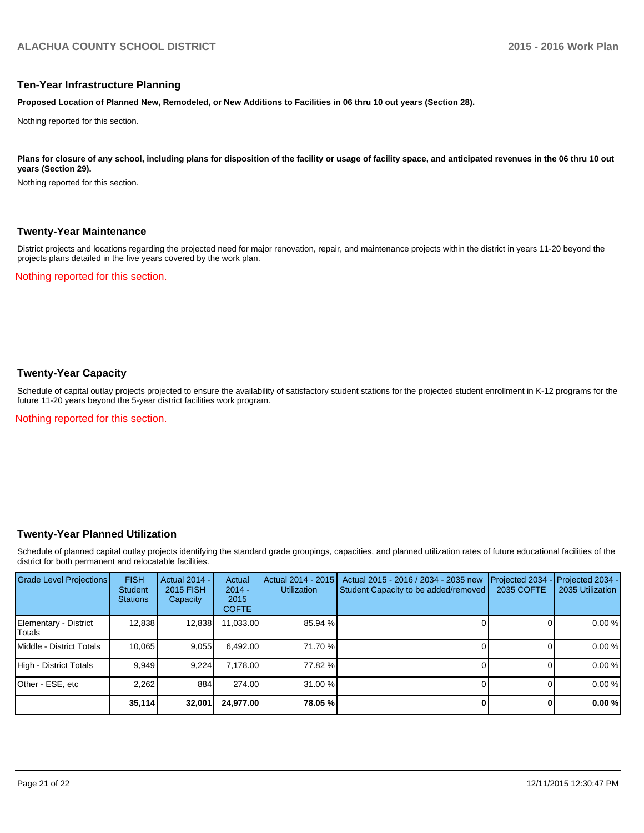#### **Ten-Year Infrastructure Planning**

**Proposed Location of Planned New, Remodeled, or New Additions to Facilities in 06 thru 10 out years (Section 28).**

Nothing reported for this section.

Plans for closure of any school, including plans for disposition of the facility or usage of facility space, and anticipated revenues in the 06 thru 10 out **years (Section 29).**

Nothing reported for this section.

#### **Twenty-Year Maintenance**

District projects and locations regarding the projected need for major renovation, repair, and maintenance projects within the district in years 11-20 beyond the projects plans detailed in the five years covered by the work plan.

Nothing reported for this section.

## **Twenty-Year Capacity**

Schedule of capital outlay projects projected to ensure the availability of satisfactory student stations for the projected student enrollment in K-12 programs for the future 11-20 years beyond the 5-year district facilities work program.

Nothing reported for this section.

### **Twenty-Year Planned Utilization**

Schedule of planned capital outlay projects identifying the standard grade groupings, capacities, and planned utilization rates of future educational facilities of the district for both permanent and relocatable facilities.

| <b>Grade Level Projections</b>   | <b>FISH</b><br><b>Student</b><br><b>Stations</b> | <b>Actual 2014 -</b><br>2015 FISH<br>Capacity | Actual<br>$2014 -$<br>2015<br><b>COFTE</b> | Actual 2014 - 2015<br>Utilization | Actual 2015 - 2016 / 2034 - 2035 new<br>Student Capacity to be added/removed | Projected 2034<br>2035 COFTE | Projected 2034 -<br>2035 Utilization |
|----------------------------------|--------------------------------------------------|-----------------------------------------------|--------------------------------------------|-----------------------------------|------------------------------------------------------------------------------|------------------------------|--------------------------------------|
| Elementary - District<br> Totals | 12,838                                           | 12,838                                        | 11,033.00                                  | 85.94 %                           |                                                                              |                              | 0.00%                                |
| Middle - District Totals         | 10.065                                           | 9,055                                         | 6,492.00                                   | 71.70 %                           |                                                                              |                              | 0.00%                                |
| High - District Totals           | 9.949                                            | 9.224                                         | 7.178.00                                   | 77.82 %                           |                                                                              |                              | 0.00%                                |
| Other - ESE, etc                 | 2,262                                            | 884                                           | 274.00                                     | $31.00\%$                         |                                                                              |                              | 0.00%                                |
|                                  | 35,114                                           | 32,001                                        | 24,977.00                                  | 78.05 %                           |                                                                              |                              | 0.00%                                |